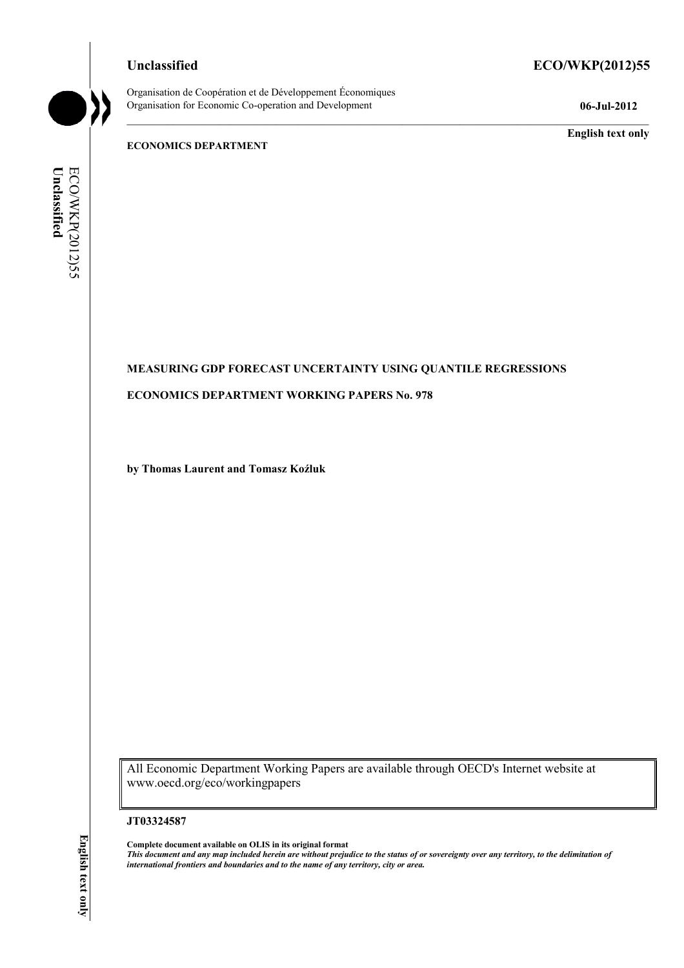Organisation de Coopération et de Développement Économiques Organisation for Economic Co-operation and Development **06-Jul-2012** 

# **Unclassified ECO/WKP(2012)55**

**English text only** 

#### **ECONOMICS DEPARTMENT**

Unclassified ECO/WKP(2012)55 **Unclassified**  ECO/WKP(2012)55

# **MEASURING GDP FORECAST UNCERTAINTY USING QUANTILE REGRESSIONS**

## **ECONOMICS DEPARTMENT WORKING PAPERS No. 978**

**by Thomas Laurent and Tomasz Koźluk** 

All Economic Department Working Papers are available through OECD's Internet website at www.oecd.org/eco/workingpapers

#### **JT03324587**

**Complete document available on OLIS in its original format** *This document and any map included herein are without prejudice to the status of or sovereignty over any territory, to the delimitation of international frontiers and boundaries and to the name of any territory, city or area.*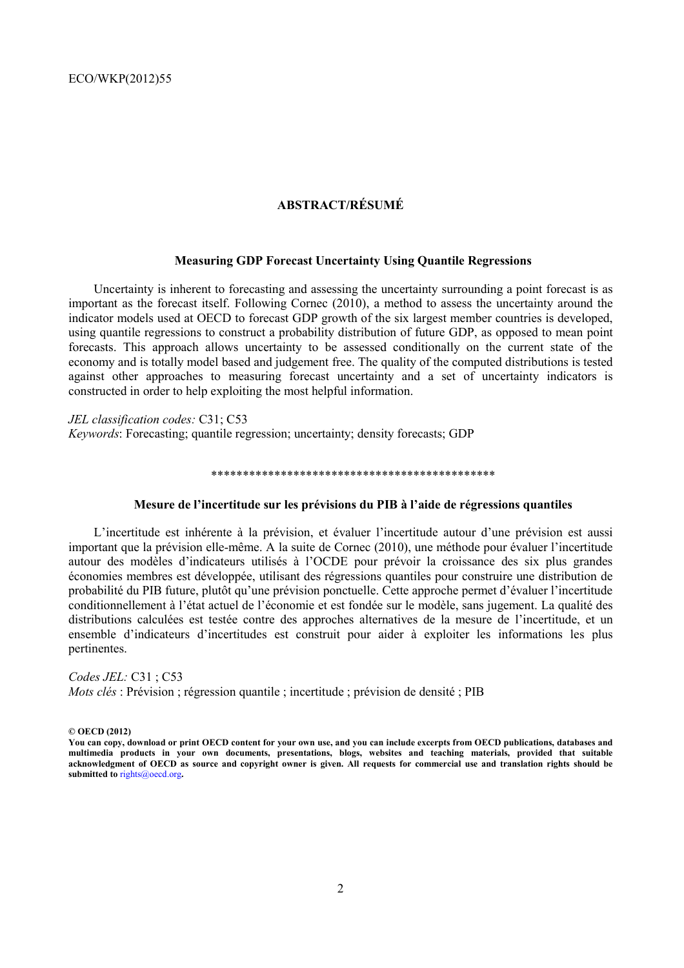# **ABSTRACT/RÉSUMÉ**

#### **Measuring GDP Forecast Uncertainty Using Quantile Regressions**

Uncertainty is inherent to forecasting and assessing the uncertainty surrounding a point forecast is as important as the forecast itself. Following Cornec (2010), a method to assess the uncertainty around the indicator models used at OECD to forecast GDP growth of the six largest member countries is developed, using quantile regressions to construct a probability distribution of future GDP, as opposed to mean point forecasts. This approach allows uncertainty to be assessed conditionally on the current state of the economy and is totally model based and judgement free. The quality of the computed distributions is tested against other approaches to measuring forecast uncertainty and a set of uncertainty indicators is constructed in order to help exploiting the most helpful information.

*JEL classification codes:* C31; C53 *Keywords*: Forecasting; quantile regression; uncertainty; density forecasts; GDP

#### \*\*\*\*\*\*\*\*\*\*\*\*\*\*\*\*\*\*\*\*\*\*\*\*\*\*\*\*\*\*\*\*\*\*\*\*\*\*\*\*\*\*\*\*\*

#### **Mesure de l'incertitude sur les prévisions du PIB à l'aide de régressions quantiles**

L'incertitude est inhérente à la prévision, et évaluer l'incertitude autour d'une prévision est aussi important que la prévision elle-même. A la suite de Cornec (2010), une méthode pour évaluer l'incertitude autour des modèles d'indicateurs utilisés à l'OCDE pour prévoir la croissance des six plus grandes économies membres est développée, utilisant des régressions quantiles pour construire une distribution de probabilité du PIB future, plutôt qu'une prévision ponctuelle. Cette approche permet d'évaluer l'incertitude conditionnellement à l'état actuel de l'économie et est fondée sur le modèle, sans jugement. La qualité des distributions calculées est testée contre des approches alternatives de la mesure de l'incertitude, et un ensemble d'indicateurs d'incertitudes est construit pour aider à exploiter les informations les plus pertinentes.

*Codes JEL:* C31 ; C53 *Mots clés* : Prévision ; régression quantile ; incertitude ; prévision de densité ; PIB

**© OECD (2012)** 

**You can copy, download or print OECD content for your own use, and you can include excerpts from OECD publications, databases and multimedia products in your own documents, presentations, blogs, websites and teaching materials, provided that suitable acknowledgment of OECD as source and copyright owner is given. All requests for commercial use and translation rights should be submitted to** rights@oecd.org**.**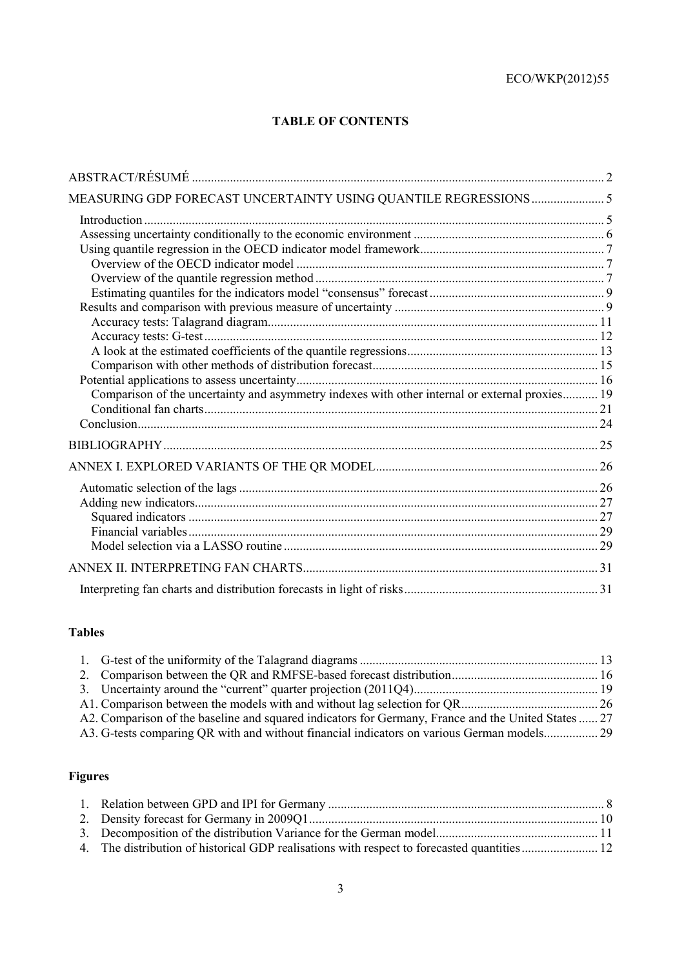# **TABLE OF CONTENTS**

| Comparison of the uncertainty and asymmetry indexes with other internal or external proxies 19 |  |
|------------------------------------------------------------------------------------------------|--|
|                                                                                                |  |
|                                                                                                |  |
|                                                                                                |  |
|                                                                                                |  |
|                                                                                                |  |
|                                                                                                |  |
|                                                                                                |  |
|                                                                                                |  |
|                                                                                                |  |
|                                                                                                |  |
|                                                                                                |  |
|                                                                                                |  |

# **Tables**

| A2. Comparison of the baseline and squared indicators for Germany, France and the United States  27 |  |
|-----------------------------------------------------------------------------------------------------|--|
|                                                                                                     |  |

# **Figures**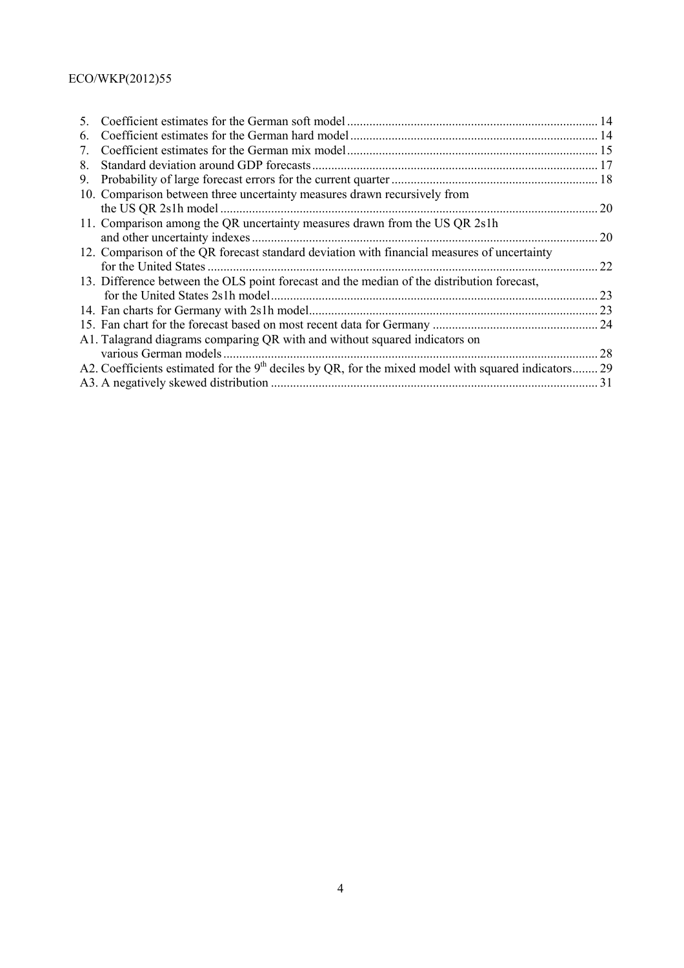# ECO/WKP(2012)55

| 10. Comparison between three uncertainty measures drawn recursively from                               |                                                                            |
|--------------------------------------------------------------------------------------------------------|----------------------------------------------------------------------------|
|                                                                                                        | 20                                                                         |
|                                                                                                        |                                                                            |
|                                                                                                        | 20                                                                         |
| 12. Comparison of the QR forecast standard deviation with financial measures of uncertainty            |                                                                            |
|                                                                                                        | 22                                                                         |
| 13. Difference between the OLS point forecast and the median of the distribution forecast,             |                                                                            |
|                                                                                                        | 23                                                                         |
|                                                                                                        |                                                                            |
|                                                                                                        |                                                                            |
| A1. Talagrand diagrams comparing QR with and without squared indicators on                             |                                                                            |
| various German models                                                                                  | 28                                                                         |
| A2. Coefficients estimated for the $9th$ deciles by QR, for the mixed model with squared indicators 29 |                                                                            |
|                                                                                                        | 31                                                                         |
|                                                                                                        | 11. Comparison among the QR uncertainty measures drawn from the US QR 2s1h |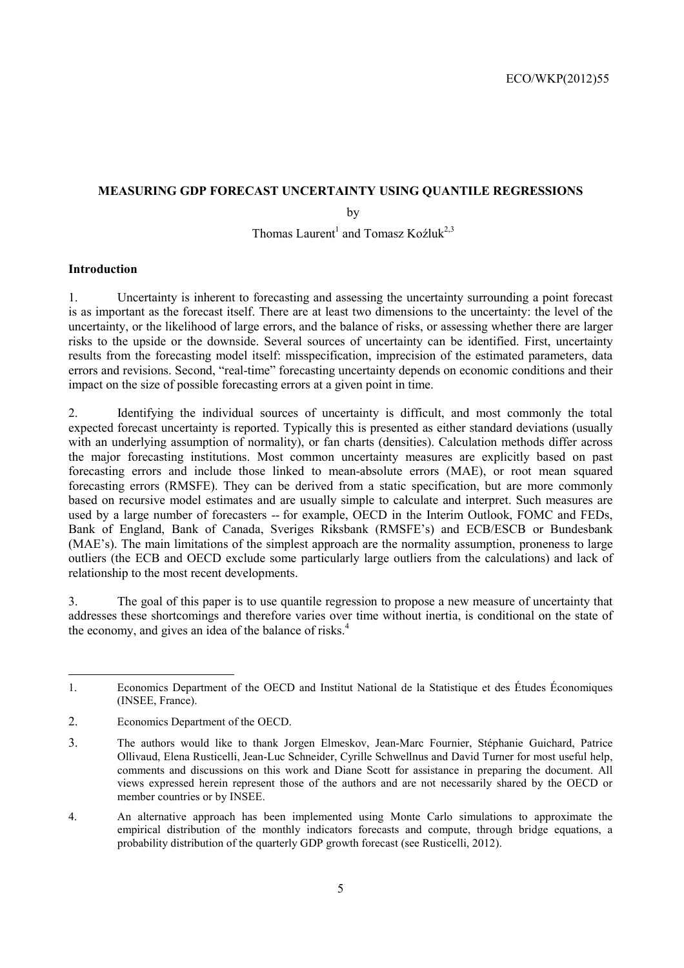# **MEASURING GDP FORECAST UNCERTAINTY USING QUANTILE REGRESSIONS**

by

Thomas Laurent<sup>1</sup> and Tomasz Koźluk<sup>2,3</sup>

# **Introduction**

1. Uncertainty is inherent to forecasting and assessing the uncertainty surrounding a point forecast is as important as the forecast itself. There are at least two dimensions to the uncertainty: the level of the uncertainty, or the likelihood of large errors, and the balance of risks, or assessing whether there are larger risks to the upside or the downside. Several sources of uncertainty can be identified. First, uncertainty results from the forecasting model itself: misspecification, imprecision of the estimated parameters, data errors and revisions. Second, "real-time" forecasting uncertainty depends on economic conditions and their impact on the size of possible forecasting errors at a given point in time.

2. Identifying the individual sources of uncertainty is difficult, and most commonly the total expected forecast uncertainty is reported. Typically this is presented as either standard deviations (usually with an underlying assumption of normality), or fan charts (densities). Calculation methods differ across the major forecasting institutions. Most common uncertainty measures are explicitly based on past forecasting errors and include those linked to mean-absolute errors (MAE), or root mean squared forecasting errors (RMSFE). They can be derived from a static specification, but are more commonly based on recursive model estimates and are usually simple to calculate and interpret. Such measures are used by a large number of forecasters -- for example, OECD in the Interim Outlook, FOMC and FEDs, Bank of England, Bank of Canada, Sveriges Riksbank (RMSFE's) and ECB/ESCB or Bundesbank (MAE's). The main limitations of the simplest approach are the normality assumption, proneness to large outliers (the ECB and OECD exclude some particularly large outliers from the calculations) and lack of relationship to the most recent developments.

3. The goal of this paper is to use quantile regression to propose a new measure of uncertainty that addresses these shortcomings and therefore varies over time without inertia, is conditional on the state of the economy, and gives an idea of the balance of risks.<sup>4</sup>

<sup>1.</sup> Economics Department of the OECD and Institut National de la Statistique et des Études Économiques (INSEE, France).

<sup>2.</sup> Economics Department of the OECD.

<sup>3.</sup> The authors would like to thank Jorgen Elmeskov, Jean-Marc Fournier, Stéphanie Guichard, Patrice Ollivaud, Elena Rusticelli, Jean-Luc Schneider, Cyrille Schwellnus and David Turner for most useful help, comments and discussions on this work and Diane Scott for assistance in preparing the document. All views expressed herein represent those of the authors and are not necessarily shared by the OECD or member countries or by INSEE.

<sup>4.</sup> An alternative approach has been implemented using Monte Carlo simulations to approximate the empirical distribution of the monthly indicators forecasts and compute, through bridge equations, a probability distribution of the quarterly GDP growth forecast (see Rusticelli, 2012).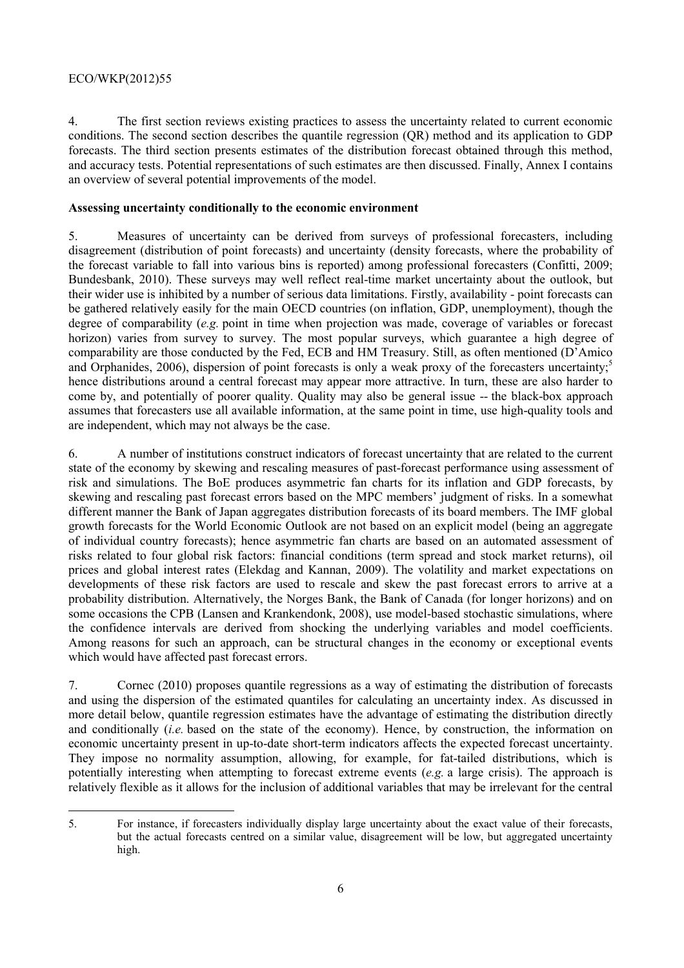# ECO/WKP(2012)55

4. The first section reviews existing practices to assess the uncertainty related to current economic conditions. The second section describes the quantile regression (QR) method and its application to GDP forecasts. The third section presents estimates of the distribution forecast obtained through this method, and accuracy tests. Potential representations of such estimates are then discussed. Finally, Annex I contains an overview of several potential improvements of the model.

# **Assessing uncertainty conditionally to the economic environment**

5. Measures of uncertainty can be derived from surveys of professional forecasters, including disagreement (distribution of point forecasts) and uncertainty (density forecasts, where the probability of the forecast variable to fall into various bins is reported) among professional forecasters (Confitti, 2009; Bundesbank, 2010). These surveys may well reflect real-time market uncertainty about the outlook, but their wider use is inhibited by a number of serious data limitations. Firstly, availability - point forecasts can be gathered relatively easily for the main OECD countries (on inflation, GDP, unemployment), though the degree of comparability (*e.g.* point in time when projection was made, coverage of variables or forecast horizon) varies from survey to survey. The most popular surveys, which guarantee a high degree of comparability are those conducted by the Fed, ECB and HM Treasury. Still, as often mentioned (D'Amico and Orphanides, 2006), dispersion of point forecasts is only a weak proxy of the forecasters uncertainty;<sup>5</sup> hence distributions around a central forecast may appear more attractive. In turn, these are also harder to come by, and potentially of poorer quality. Quality may also be general issue -- the black-box approach assumes that forecasters use all available information, at the same point in time, use high-quality tools and are independent, which may not always be the case.

6. A number of institutions construct indicators of forecast uncertainty that are related to the current state of the economy by skewing and rescaling measures of past-forecast performance using assessment of risk and simulations. The BoE produces asymmetric fan charts for its inflation and GDP forecasts, by skewing and rescaling past forecast errors based on the MPC members' judgment of risks. In a somewhat different manner the Bank of Japan aggregates distribution forecasts of its board members. The IMF global growth forecasts for the World Economic Outlook are not based on an explicit model (being an aggregate of individual country forecasts); hence asymmetric fan charts are based on an automated assessment of risks related to four global risk factors: financial conditions (term spread and stock market returns), oil prices and global interest rates (Elekdag and Kannan, 2009). The volatility and market expectations on developments of these risk factors are used to rescale and skew the past forecast errors to arrive at a probability distribution. Alternatively, the Norges Bank, the Bank of Canada (for longer horizons) and on some occasions the CPB (Lansen and Krankendonk, 2008), use model-based stochastic simulations, where the confidence intervals are derived from shocking the underlying variables and model coefficients. Among reasons for such an approach, can be structural changes in the economy or exceptional events which would have affected past forecast errors.

7. Cornec (2010) proposes quantile regressions as a way of estimating the distribution of forecasts and using the dispersion of the estimated quantiles for calculating an uncertainty index. As discussed in more detail below, quantile regression estimates have the advantage of estimating the distribution directly and conditionally (*i.e.* based on the state of the economy). Hence, by construction, the information on economic uncertainty present in up-to-date short-term indicators affects the expected forecast uncertainty. They impose no normality assumption, allowing, for example, for fat-tailed distributions, which is potentially interesting when attempting to forecast extreme events (*e.g.* a large crisis). The approach is relatively flexible as it allows for the inclusion of additional variables that may be irrelevant for the central

 $\overline{a}$ 

<sup>5.</sup> For instance, if forecasters individually display large uncertainty about the exact value of their forecasts, but the actual forecasts centred on a similar value, disagreement will be low, but aggregated uncertainty high.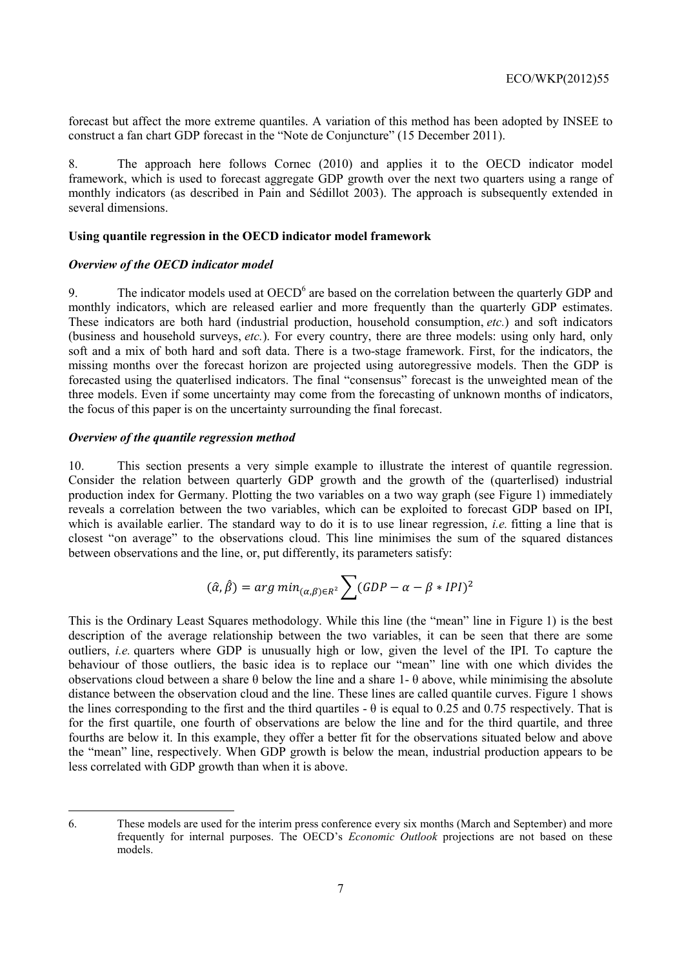forecast but affect the more extreme quantiles. A variation of this method has been adopted by INSEE to construct a fan chart GDP forecast in the "Note de Conjuncture" (15 December 2011).

8. The approach here follows Cornec (2010) and applies it to the OECD indicator model framework, which is used to forecast aggregate GDP growth over the next two quarters using a range of monthly indicators (as described in Pain and Sédillot 2003). The approach is subsequently extended in several dimensions.

# **Using quantile regression in the OECD indicator model framework**

# *Overview of the OECD indicator model*

9. The indicator models used at OECD<sup>6</sup> are based on the correlation between the quarterly GDP and monthly indicators, which are released earlier and more frequently than the quarterly GDP estimates. These indicators are both hard (industrial production, household consumption, *etc.*) and soft indicators (business and household surveys, *etc.*). For every country, there are three models: using only hard, only soft and a mix of both hard and soft data. There is a two-stage framework. First, for the indicators, the missing months over the forecast horizon are projected using autoregressive models. Then the GDP is forecasted using the quaterlised indicators. The final "consensus" forecast is the unweighted mean of the three models. Even if some uncertainty may come from the forecasting of unknown months of indicators, the focus of this paper is on the uncertainty surrounding the final forecast.

# *Overview of the quantile regression method*

10. This section presents a very simple example to illustrate the interest of quantile regression. Consider the relation between quarterly GDP growth and the growth of the (quarterlised) industrial production index for Germany. Plotting the two variables on a two way graph (see Figure 1) immediately reveals a correlation between the two variables, which can be exploited to forecast GDP based on IPI, which is available earlier. The standard way to do it is to use linear regression, *i.e.* fitting a line that is closest "on average" to the observations cloud. This line minimises the sum of the squared distances between observations and the line, or, put differently, its parameters satisfy:

$$
(\hat{\alpha}, \hat{\beta}) = \arg\min_{(\alpha, \beta) \in R^2} \sum (GDP - \alpha - \beta * IPI)^2
$$

This is the Ordinary Least Squares methodology. While this line (the "mean" line in Figure 1) is the best description of the average relationship between the two variables, it can be seen that there are some outliers, *i.e.* quarters where GDP is unusually high or low, given the level of the IPI. To capture the behaviour of those outliers, the basic idea is to replace our "mean" line with one which divides the observations cloud between a share  $\theta$  below the line and a share 1-  $\theta$  above, while minimising the absolute distance between the observation cloud and the line. These lines are called quantile curves. Figure 1 shows the lines corresponding to the first and the third quartiles  $- \theta$  is equal to 0.25 and 0.75 respectively. That is for the first quartile, one fourth of observations are below the line and for the third quartile, and three fourths are below it. In this example, they offer a better fit for the observations situated below and above the "mean" line, respectively. When GDP growth is below the mean, industrial production appears to be less correlated with GDP growth than when it is above.

 $\overline{a}$ 

<sup>6.</sup> These models are used for the interim press conference every six months (March and September) and more frequently for internal purposes. The OECD's *Economic Outlook* projections are not based on these models.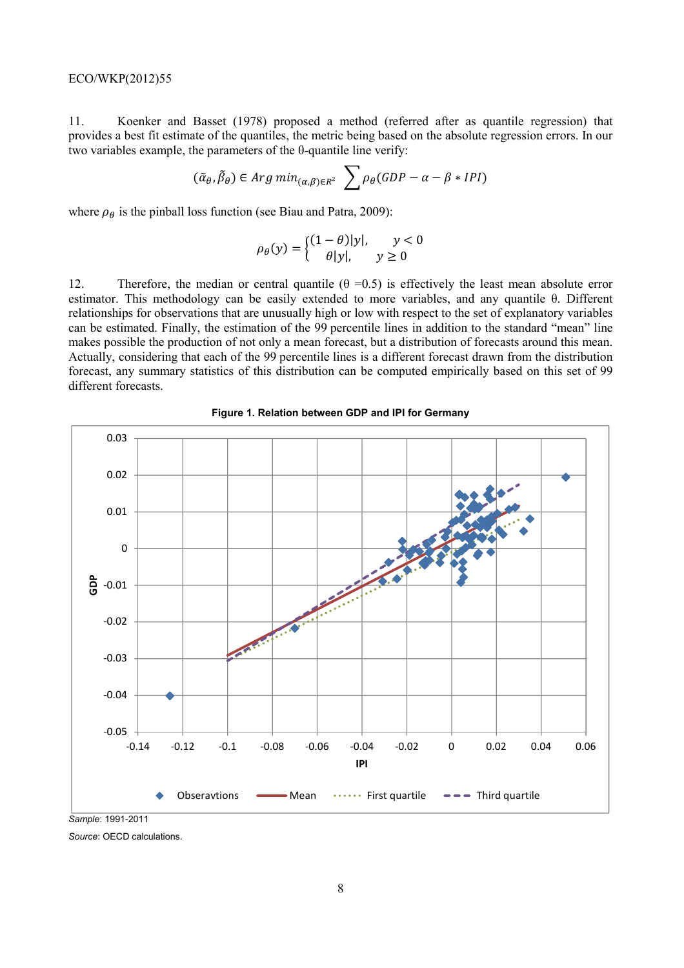11. Koenker and Basset (1978) proposed a method (referred after as quantile regression) that provides a best fit estimate of the quantiles, the metric being based on the absolute regression errors. In our two variables example, the parameters of the θ-quantile line verify:

$$
(\tilde{\alpha}_{\theta}, \tilde{\beta}_{\theta}) \in Arg \ min_{(\alpha,\beta)\in R^2} \sum \rho_{\theta}(GDP - \alpha - \beta * IPI)
$$

where  $\rho_{\theta}$  is the pinball loss function (see Biau and Patra, 2009):

$$
\rho_{\theta}(y) = \begin{cases} (1 - \theta)|y|, & y < 0\\ \theta|y|, & y \ge 0 \end{cases}
$$

12. Therefore, the median or central quantile  $(\theta = 0.5)$  is effectively the least mean absolute error estimator. This methodology can be easily extended to more variables, and any quantile θ. Different relationships for observations that are unusually high or low with respect to the set of explanatory variables can be estimated. Finally, the estimation of the 99 percentile lines in addition to the standard "mean" line makes possible the production of not only a mean forecast, but a distribution of forecasts around this mean. Actually, considering that each of the 99 percentile lines is a different forecast drawn from the distribution forecast, any summary statistics of this distribution can be computed empirically based on this set of 99 different forecasts.



#### **Figure 1. Relation between GDP and IPI for Germany**

*Source*: OECD calculations.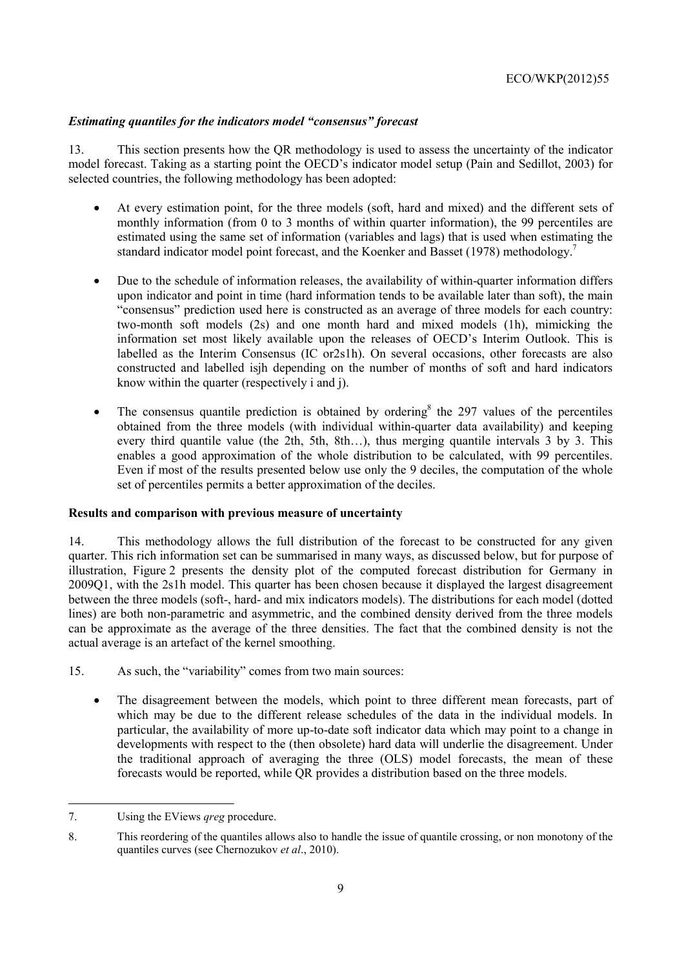# *Estimating quantiles for the indicators model "consensus" forecast*

13. This section presents how the QR methodology is used to assess the uncertainty of the indicator model forecast. Taking as a starting point the OECD's indicator model setup (Pain and Sedillot, 2003) for selected countries, the following methodology has been adopted:

- At every estimation point, for the three models (soft, hard and mixed) and the different sets of monthly information (from 0 to 3 months of within quarter information), the 99 percentiles are estimated using the same set of information (variables and lags) that is used when estimating the standard indicator model point forecast, and the Koenker and Basset (1978) methodology.7
- Due to the schedule of information releases, the availability of within-quarter information differs upon indicator and point in time (hard information tends to be available later than soft), the main "consensus" prediction used here is constructed as an average of three models for each country: two-month soft models (2s) and one month hard and mixed models (1h), mimicking the information set most likely available upon the releases of OECD's Interim Outlook. This is labelled as the Interim Consensus (IC or2s1h). On several occasions, other forecasts are also constructed and labelled isjh depending on the number of months of soft and hard indicators know within the quarter (respectively i and j).
- The consensus quantile prediction is obtained by ordering<sup>8</sup> the 297 values of the percentiles obtained from the three models (with individual within-quarter data availability) and keeping every third quantile value (the 2th, 5th, 8th…), thus merging quantile intervals 3 by 3. This enables a good approximation of the whole distribution to be calculated, with 99 percentiles. Even if most of the results presented below use only the 9 deciles, the computation of the whole set of percentiles permits a better approximation of the deciles.

# **Results and comparison with previous measure of uncertainty**

14. This methodology allows the full distribution of the forecast to be constructed for any given quarter. This rich information set can be summarised in many ways, as discussed below, but for purpose of illustration, Figure 2 presents the density plot of the computed forecast distribution for Germany in 2009Q1, with the 2s1h model. This quarter has been chosen because it displayed the largest disagreement between the three models (soft-, hard- and mix indicators models). The distributions for each model (dotted lines) are both non-parametric and asymmetric, and the combined density derived from the three models can be approximate as the average of the three densities. The fact that the combined density is not the actual average is an artefact of the kernel smoothing.

- 15. As such, the "variability" comes from two main sources:
	- The disagreement between the models, which point to three different mean forecasts, part of which may be due to the different release schedules of the data in the individual models. In particular, the availability of more up-to-date soft indicator data which may point to a change in developments with respect to the (then obsolete) hard data will underlie the disagreement. Under the traditional approach of averaging the three (OLS) model forecasts, the mean of these forecasts would be reported, while QR provides a distribution based on the three models.

 $\overline{a}$ 

<sup>7.</sup> Using the EViews *qreg* procedure.

<sup>8.</sup> This reordering of the quantiles allows also to handle the issue of quantile crossing, or non monotony of the quantiles curves (see Chernozukov *et al*., 2010).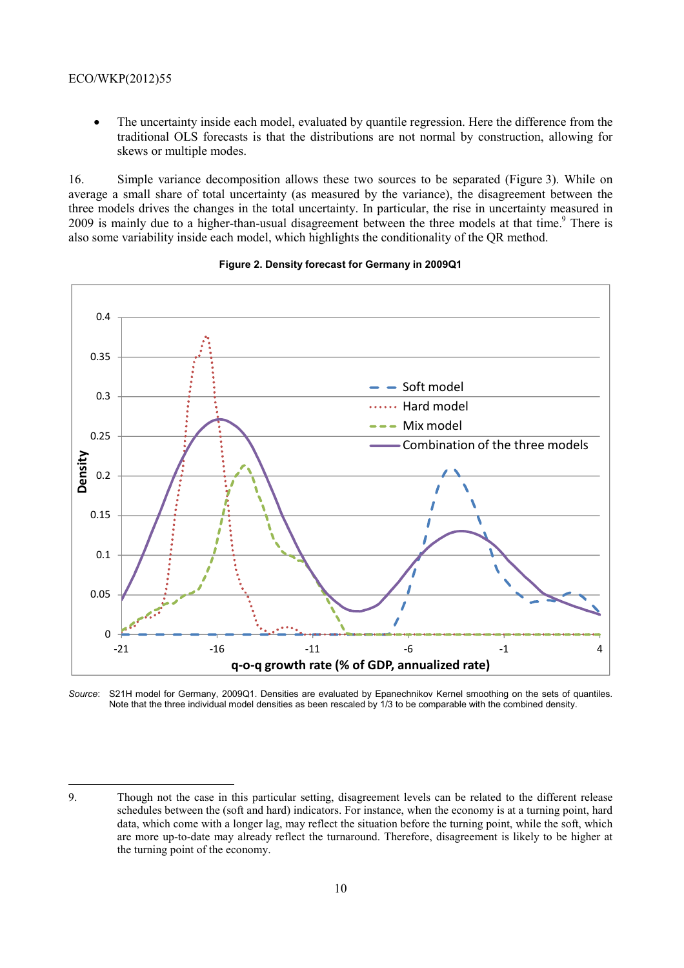## ECO/WKP(2012)55

• The uncertainty inside each model, evaluated by quantile regression. Here the difference from the traditional OLS forecasts is that the distributions are not normal by construction, allowing for skews or multiple modes.

16. Simple variance decomposition allows these two sources to be separated (Figure 3). While on average a small share of total uncertainty (as measured by the variance), the disagreement between the three models drives the changes in the total uncertainty. In particular, the rise in uncertainty measured in 2009 is mainly due to a higher-than-usual disagreement between the three models at that time.<sup>9</sup> There is also some variability inside each model, which highlights the conditionality of the QR method.



#### **Figure 2. Density forecast for Germany in 2009Q1**

*Source*: S21H model for Germany, 2009Q1. Densities are evaluated by Epanechnikov Kernel smoothing on the sets of quantiles. Note that the three individual model densities as been rescaled by 1/3 to be comparable with the combined density.

<sup>9.</sup> Though not the case in this particular setting, disagreement levels can be related to the different release schedules between the (soft and hard) indicators. For instance, when the economy is at a turning point, hard data, which come with a longer lag, may reflect the situation before the turning point, while the soft, which are more up-to-date may already reflect the turnaround. Therefore, disagreement is likely to be higher at the turning point of the economy.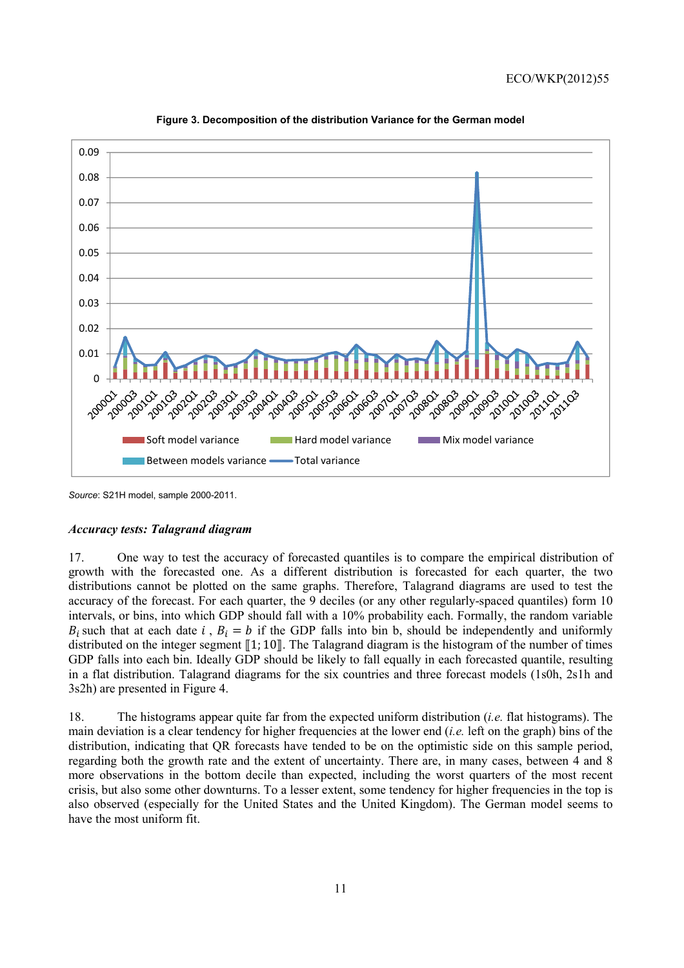

**Figure 3. Decomposition of the distribution Variance for the German model** 

*Source*: S21H model, sample 2000-2011.

#### *Accuracy tests: Talagrand diagram*

17. One way to test the accuracy of forecasted quantiles is to compare the empirical distribution of growth with the forecasted one. As a different distribution is forecasted for each quarter, the two distributions cannot be plotted on the same graphs. Therefore, Talagrand diagrams are used to test the accuracy of the forecast. For each quarter, the 9 deciles (or any other regularly-spaced quantiles) form 10 intervals, or bins, into which GDP should fall with a 10% probability each. Formally, the random variable  $B_i$  such that at each date i,  $B_i = b$  if the GDP falls into bin b, should be independently and uniformly distributed on the integer segment  $\llbracket 1; 10 \rrbracket$ . The Talagrand diagram is the histogram of the number of times GDP falls into each bin. Ideally GDP should be likely to fall equally in each forecasted quantile, resulting in a flat distribution. Talagrand diagrams for the six countries and three forecast models (1s0h, 2s1h and 3s2h) are presented in Figure 4.

18. The histograms appear quite far from the expected uniform distribution (*i.e.* flat histograms). The main deviation is a clear tendency for higher frequencies at the lower end (*i.e.* left on the graph) bins of the distribution, indicating that QR forecasts have tended to be on the optimistic side on this sample period, regarding both the growth rate and the extent of uncertainty. There are, in many cases, between 4 and 8 more observations in the bottom decile than expected, including the worst quarters of the most recent crisis, but also some other downturns. To a lesser extent, some tendency for higher frequencies in the top is also observed (especially for the United States and the United Kingdom). The German model seems to have the most uniform fit.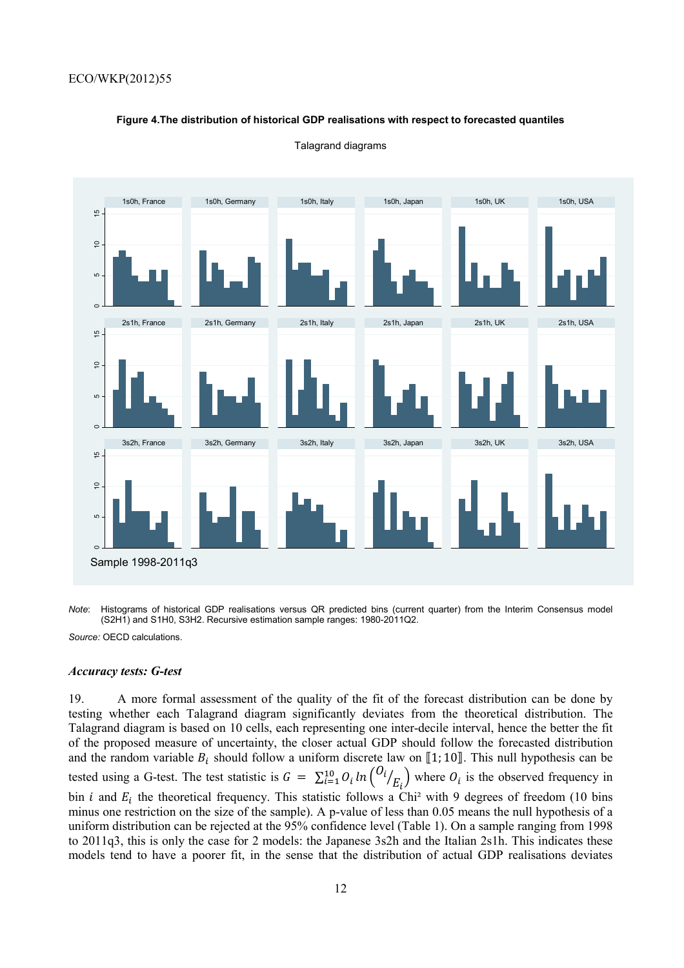#### **Figure 4.The distribution of historical GDP realisations with respect to forecasted quantiles**



Talagrand diagrams

*Note*: Histograms of historical GDP realisations versus QR predicted bins (current quarter) from the Interim Consensus model (S2H1) and S1H0, S3H2. Recursive estimation sample ranges: 1980-2011Q2.

*Source:* OECD calculations.

#### *Accuracy tests: G-test*

19. A more formal assessment of the quality of the fit of the forecast distribution can be done by testing whether each Talagrand diagram significantly deviates from the theoretical distribution. The Talagrand diagram is based on 10 cells, each representing one inter-decile interval, hence the better the fit of the proposed measure of uncertainty, the closer actual GDP should follow the forecasted distribution and the random variable  $B_i$  should follow a uniform discrete law on [1; 10]. This null hypothesis can be tested using a G-test. The test statistic is  $G = \sum_{i=1}^{10} O_i \ln \left( \frac{O_i}{E_i} \right)$  where  $O_i$  is the observed frequency in bin *i* and  $E_i$  the theoretical frequency. This statistic follows a Chi<sup>2</sup> with 9 degrees of freedom (10 bins minus one restriction on the size of the sample). A p-value of less than 0.05 means the null hypothesis of a uniform distribution can be rejected at the 95% confidence level (Table 1). On a sample ranging from 1998 to 2011q3, this is only the case for 2 models: the Japanese 3s2h and the Italian 2s1h. This indicates these models tend to have a poorer fit, in the sense that the distribution of actual GDP realisations deviates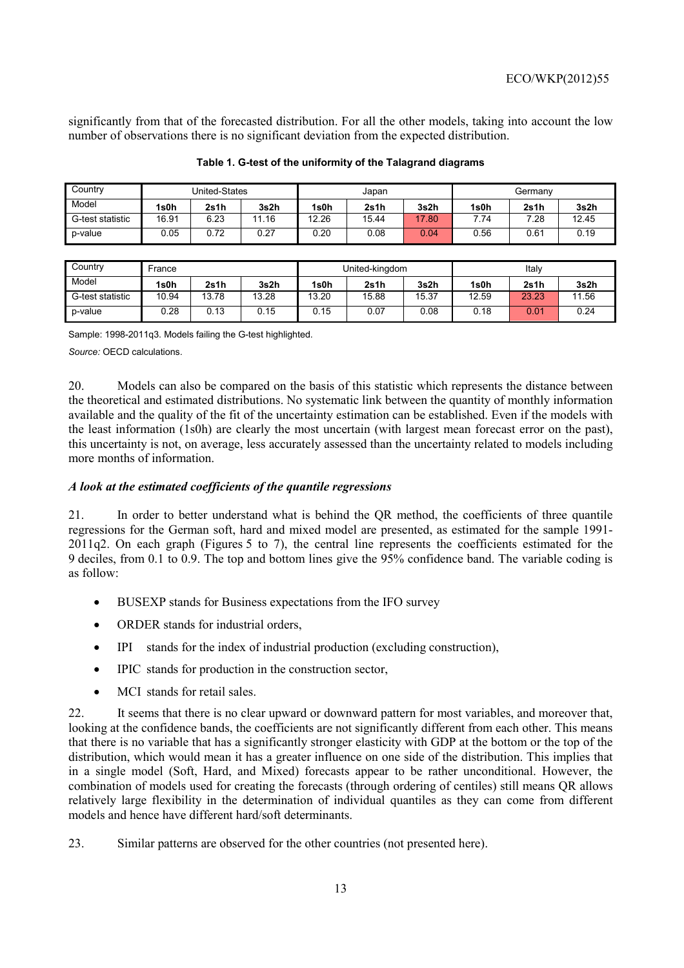significantly from that of the forecasted distribution. For all the other models, taking into account the low number of observations there is no significant deviation from the expected distribution.

| Country          |       | United-States |       |       | Japan |       | Germany |      |       |  |
|------------------|-------|---------------|-------|-------|-------|-------|---------|------|-------|--|
| Model            | 1s0h  | 2s1h          | 3s2h  | 1s0h  | 2s1h  | 3s2h  | 1s0h    | 2s1h | 3s2h  |  |
| G-test statistic | 16.91 | 6.23          | 11.16 | 12.26 | 15.44 | 17.80 | 7.74    | 7.28 | 12.45 |  |
| p-value          | 0.05  | 0.72          | 0.27  | 0.20  | 0.08  | 0.04  | 0.56    | 0.61 | 0.19  |  |

#### **Table 1. G-test of the uniformity of the Talagrand diagrams**

| Country          | France |       |       |       | United-kingdom |       | Italy |       |       |  |
|------------------|--------|-------|-------|-------|----------------|-------|-------|-------|-------|--|
| Model            | 1s0h   | 2s1h  | 3s2h  | 1s0h  | 2s1h           | 3s2h  | 1s0h  | 2s1h  | 3s2h  |  |
| G-test statistic | 10.94  | 13.78 | 13.28 | 13.20 | 15.88          | 15.37 | 12.59 | 23.23 | 11.56 |  |
| p-value          | 0.28   | 0.13  | 0.15  | 0.15  | 0.07           | 0.08  | 0.18  | 0.01  | 0.24  |  |

Sample: 1998-2011q3. Models failing the G-test highlighted.

*Source:* OECD calculations.

20. Models can also be compared on the basis of this statistic which represents the distance between the theoretical and estimated distributions. No systematic link between the quantity of monthly information available and the quality of the fit of the uncertainty estimation can be established. Even if the models with the least information (1s0h) are clearly the most uncertain (with largest mean forecast error on the past), this uncertainty is not, on average, less accurately assessed than the uncertainty related to models including more months of information.

# *A look at the estimated coefficients of the quantile regressions*

21. In order to better understand what is behind the QR method, the coefficients of three quantile regressions for the German soft, hard and mixed model are presented, as estimated for the sample 1991- 2011q2. On each graph (Figures 5 to 7), the central line represents the coefficients estimated for the 9 deciles, from 0.1 to 0.9. The top and bottom lines give the 95% confidence band. The variable coding is as follow:

- BUSEXP stands for Business expectations from the IFO survey
- ORDER stands for industrial orders,
- IPI stands for the index of industrial production (excluding construction),
- IPIC stands for production in the construction sector,
- MCI stands for retail sales

22. It seems that there is no clear upward or downward pattern for most variables, and moreover that, looking at the confidence bands, the coefficients are not significantly different from each other. This means that there is no variable that has a significantly stronger elasticity with GDP at the bottom or the top of the distribution, which would mean it has a greater influence on one side of the distribution. This implies that in a single model (Soft, Hard, and Mixed) forecasts appear to be rather unconditional. However, the combination of models used for creating the forecasts (through ordering of centiles) still means QR allows relatively large flexibility in the determination of individual quantiles as they can come from different models and hence have different hard/soft determinants.

23. Similar patterns are observed for the other countries (not presented here).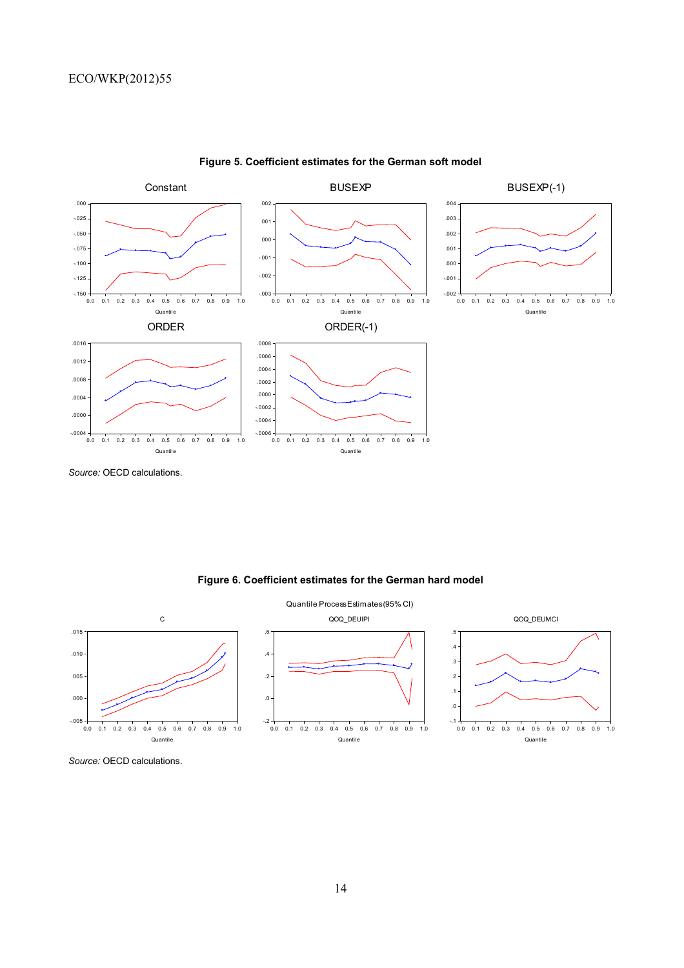

# **Figure 5. Coefficient estimates for the German soft model**

*Source:* OECD calculations.

**Figure 6. Coefficient estimates for the German hard model** 



*Source:* OECD calculations.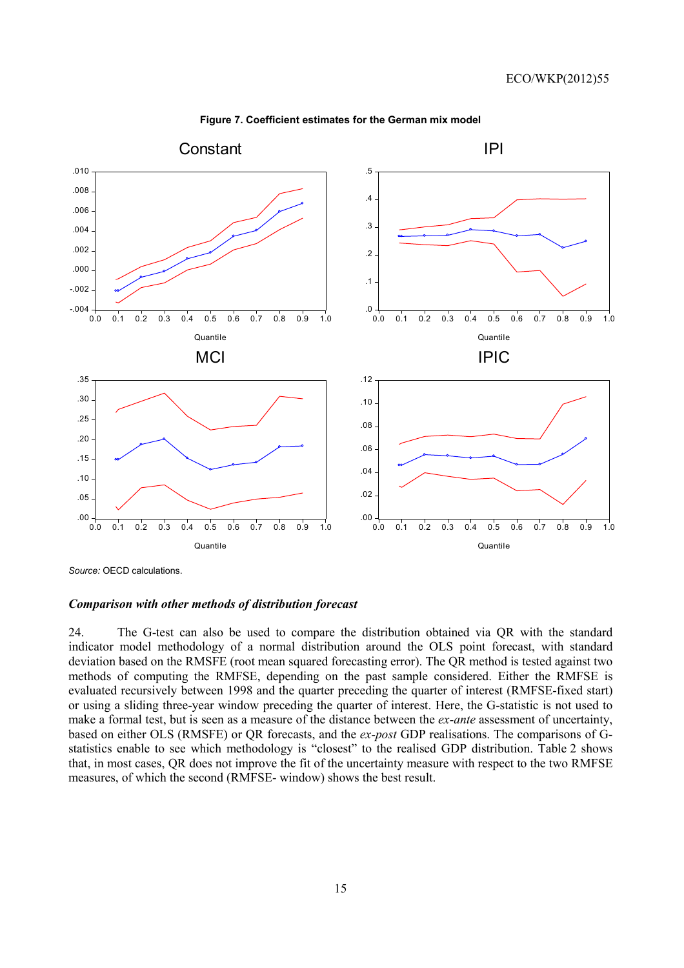

**Figure 7. Coefficient estimates for the German mix model** 

*Source:* OECD calculations.

#### *Comparison with other methods of distribution forecast*

24. The G-test can also be used to compare the distribution obtained via QR with the standard indicator model methodology of a normal distribution around the OLS point forecast, with standard deviation based on the RMSFE (root mean squared forecasting error). The QR method is tested against two methods of computing the RMFSE, depending on the past sample considered. Either the RMFSE is evaluated recursively between 1998 and the quarter preceding the quarter of interest (RMFSE-fixed start) or using a sliding three-year window preceding the quarter of interest. Here, the G-statistic is not used to make a formal test, but is seen as a measure of the distance between the *ex-ante* assessment of uncertainty, based on either OLS (RMSFE) or QR forecasts, and the *ex-post* GDP realisations. The comparisons of Gstatistics enable to see which methodology is "closest" to the realised GDP distribution. Table 2 shows that, in most cases, QR does not improve the fit of the uncertainty measure with respect to the two RMFSE measures, of which the second (RMFSE- window) shows the best result.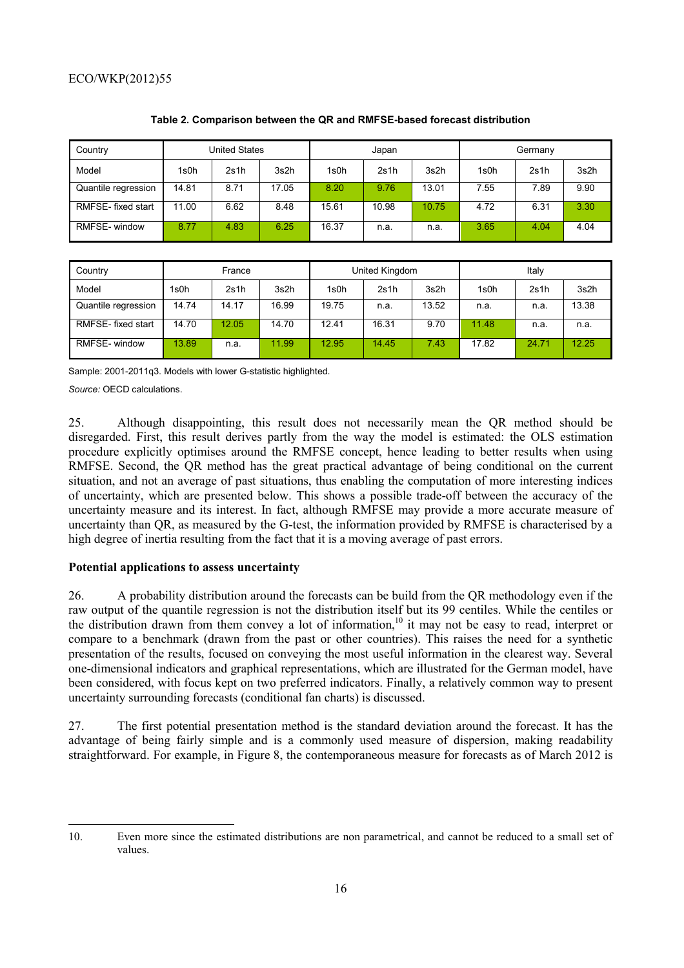| <b>United States</b><br>Country |       |      | Japan |       |       | Germany |      |      |      |
|---------------------------------|-------|------|-------|-------|-------|---------|------|------|------|
| Model                           | 1s0h  | 2s1h | 3s2h  | 1s0h  | 2s1h  | 3s2h    | 1s0h | 2s1h | 3s2h |
| Quantile regression             | 14.81 | 8.71 | 17.05 | 8.20  | 9.76  | 13.01   | 7.55 | 7.89 | 9.90 |
| RMFSE-fixed start               | 11.00 | 6.62 | 8.48  | 15.61 | 10.98 | 10.75   | 4.72 | 6.31 | 3.30 |
| RMFSE- window                   | 8.77  | 4.83 | 6.25  | 16.37 | n.a.  | n.a.    | 3.65 | 4.04 | 4.04 |

## **Table 2. Comparison between the QR and RMFSE-based forecast distribution**

| Country             | France |       |       | United Kingdom |       |       | Italy |       |       |  |
|---------------------|--------|-------|-------|----------------|-------|-------|-------|-------|-------|--|
| Model               | 1s0h   | 2s1h  | 3s2h  | 1s0h           | 2s1h  | 3s2h  | 1s0h  | 2s1h  | 3s2h  |  |
| Quantile regression | 14.74  | 14.17 | 16.99 | 19.75          | n.a.  | 13.52 | n.a.  | n.a.  | 13.38 |  |
| RMFSE-fixed start   | 14.70  | 12.05 | 14.70 | 12.41          | 16.31 | 9.70  | 11.48 | n.a.  | n.a.  |  |
| RMFSE- window       | 13.89  | n.a.  | 11.99 | 12.95          | 14.45 | 7.43  | 17.82 | 24.71 | 12.25 |  |

Sample: 2001-2011q3. Models with lower G-statistic highlighted.

*Source:* OECD calculations.

25. Although disappointing, this result does not necessarily mean the QR method should be disregarded. First, this result derives partly from the way the model is estimated: the OLS estimation procedure explicitly optimises around the RMFSE concept, hence leading to better results when using RMFSE. Second, the QR method has the great practical advantage of being conditional on the current situation, and not an average of past situations, thus enabling the computation of more interesting indices of uncertainty, which are presented below. This shows a possible trade-off between the accuracy of the uncertainty measure and its interest. In fact, although RMFSE may provide a more accurate measure of uncertainty than QR, as measured by the G-test, the information provided by RMFSE is characterised by a high degree of inertia resulting from the fact that it is a moving average of past errors.

# **Potential applications to assess uncertainty**

26. A probability distribution around the forecasts can be build from the QR methodology even if the raw output of the quantile regression is not the distribution itself but its 99 centiles. While the centiles or the distribution drawn from them convey a lot of information,<sup>10</sup> it may not be easy to read, interpret or compare to a benchmark (drawn from the past or other countries). This raises the need for a synthetic presentation of the results, focused on conveying the most useful information in the clearest way. Several one-dimensional indicators and graphical representations, which are illustrated for the German model, have been considered, with focus kept on two preferred indicators. Finally, a relatively common way to present uncertainty surrounding forecasts (conditional fan charts) is discussed.

27. The first potential presentation method is the standard deviation around the forecast. It has the advantage of being fairly simple and is a commonly used measure of dispersion, making readability straightforward. For example, in Figure 8, the contemporaneous measure for forecasts as of March 2012 is

<sup>10.</sup> Even more since the estimated distributions are non parametrical, and cannot be reduced to a small set of values.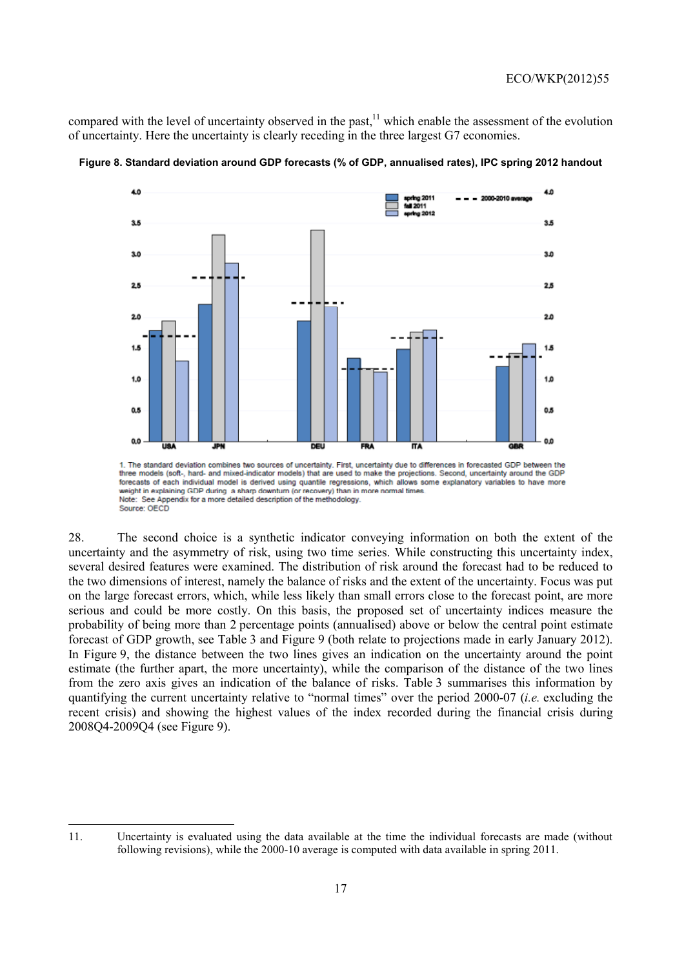compared with the level of uncertainty observed in the past, $11$  which enable the assessment of the evolution of uncertainty. Here the uncertainty is clearly receding in the three largest G7 economies.



**Figure 8. Standard deviation around GDP forecasts (% of GDP, annualised rates), IPC spring 2012 handout** 

28. The second choice is a synthetic indicator conveying information on both the extent of the uncertainty and the asymmetry of risk, using two time series. While constructing this uncertainty index, several desired features were examined. The distribution of risk around the forecast had to be reduced to the two dimensions of interest, namely the balance of risks and the extent of the uncertainty. Focus was put on the large forecast errors, which, while less likely than small errors close to the forecast point, are more serious and could be more costly. On this basis, the proposed set of uncertainty indices measure the probability of being more than 2 percentage points (annualised) above or below the central point estimate forecast of GDP growth, see Table 3 and Figure 9 (both relate to projections made in early January 2012). In Figure 9, the distance between the two lines gives an indication on the uncertainty around the point estimate (the further apart, the more uncertainty), while the comparison of the distance of the two lines from the zero axis gives an indication of the balance of risks. Table 3 summarises this information by quantifying the current uncertainty relative to "normal times" over the period 2000-07 (*i.e.* excluding the recent crisis) and showing the highest values of the index recorded during the financial crisis during 2008Q4-2009Q4 (see Figure 9).

three models (soft-, hard- and mixed-indicator models) that are used to make the projections. Second, uncertainty around the GDP forecasts of each individual model is derived using quantile regressions, which allows some explanatory variables to have more eight in explaining GDP during a sharp downturn (or recovery) than in more normal time Note: See Appendix for a more detailed description of the methodology. Source: OECD

<sup>11.</sup> Uncertainty is evaluated using the data available at the time the individual forecasts are made (without following revisions), while the 2000-10 average is computed with data available in spring 2011.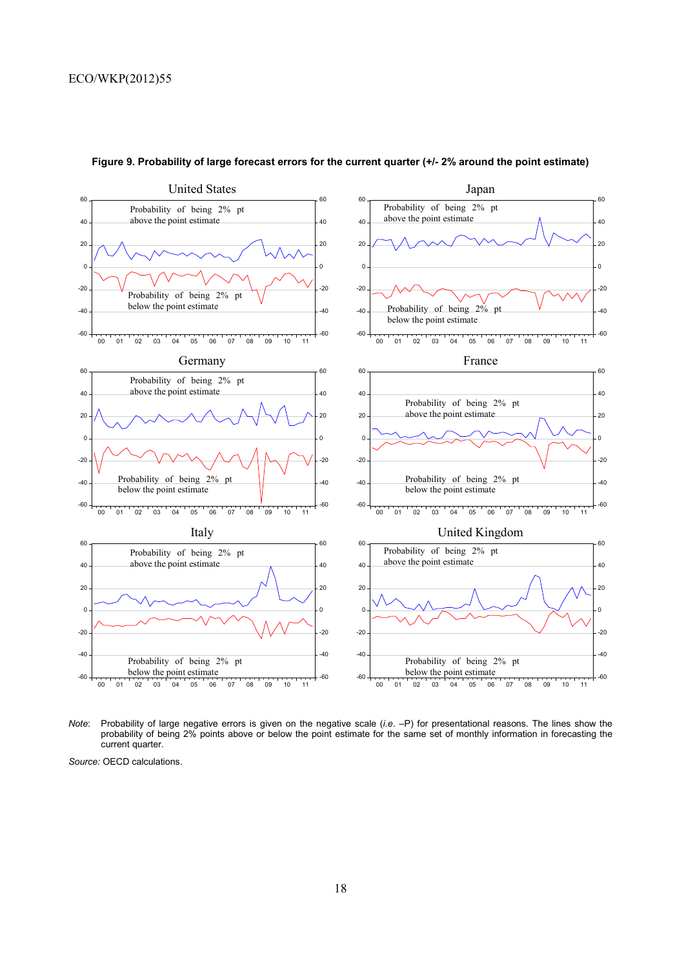

#### **Figure 9. Probability of large forecast errors for the current quarter (+/- 2% around the point estimate)**

*Note*: Probability of large negative errors is given on the negative scale (*i.e*. –P) for presentational reasons. The lines show the probability of being 2% points above or below the point estimate for the same set of monthly information in forecasting the current quarter.

*Source:* OECD calculations.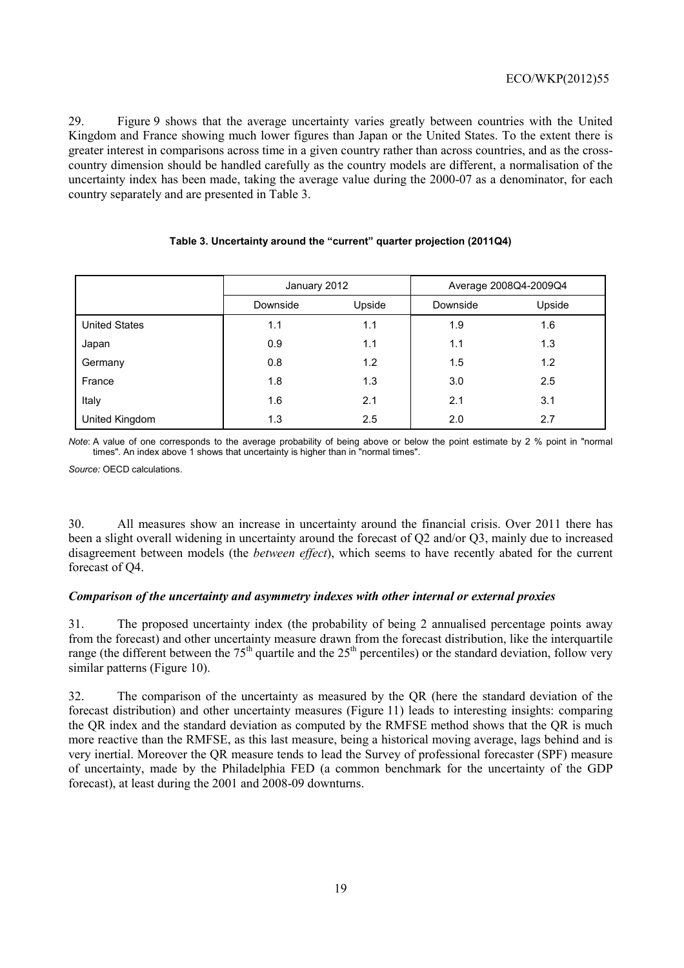29. Figure 9 shows that the average uncertainty varies greatly between countries with the United Kingdom and France showing much lower figures than Japan or the United States. To the extent there is greater interest in comparisons across time in a given country rather than across countries, and as the crosscountry dimension should be handled carefully as the country models are different, a normalisation of the uncertainty index has been made, taking the average value during the 2000-07 as a denominator, for each country separately and are presented in Table 3.

| Table 3. Uncertainty around the "current" quarter projection (2011Q4) |  |
|-----------------------------------------------------------------------|--|
|                                                                       |  |

|                      | January 2012       |     |          | Average 2008Q4-2009Q4 |
|----------------------|--------------------|-----|----------|-----------------------|
|                      | Upside<br>Downside |     | Downside | Upside                |
| <b>United States</b> | 1.1                | 1.1 | 1.9      | 1.6                   |
| Japan                | 0.9                | 1.1 | 1.1      | 1.3                   |
| Germany              | 0.8                | 1.2 | 1.5      | 1.2                   |
| France               | 1.8                | 1.3 | 3.0      | 2.5                   |
| Italy                | 1.6                | 2.1 | 2.1      | 3.1                   |
| United Kingdom       | 1.3                | 2.5 | 2.0      | 2.7                   |

*Note*: A value of one corresponds to the average probability of being above or below the point estimate by 2 % point in "normal times". An index above 1 shows that uncertainty is higher than in "normal times".

*Source:* OECD calculations.

30. All measures show an increase in uncertainty around the financial crisis. Over 2011 there has been a slight overall widening in uncertainty around the forecast of Q2 and/or Q3, mainly due to increased disagreement between models (the *between effect*), which seems to have recently abated for the current forecast of Q4.

# *Comparison of the uncertainty and asymmetry indexes with other internal or external proxies*

31. The proposed uncertainty index (the probability of being 2 annualised percentage points away from the forecast) and other uncertainty measure drawn from the forecast distribution, like the interquartile range (the different between the  $75<sup>th</sup>$  quartile and the  $25<sup>th</sup>$  percentiles) or the standard deviation, follow very similar patterns (Figure 10).

32. The comparison of the uncertainty as measured by the QR (here the standard deviation of the forecast distribution) and other uncertainty measures (Figure 11) leads to interesting insights: comparing the QR index and the standard deviation as computed by the RMFSE method shows that the QR is much more reactive than the RMFSE, as this last measure, being a historical moving average, lags behind and is very inertial. Moreover the QR measure tends to lead the Survey of professional forecaster (SPF) measure of uncertainty, made by the Philadelphia FED (a common benchmark for the uncertainty of the GDP forecast), at least during the 2001 and 2008-09 downturns.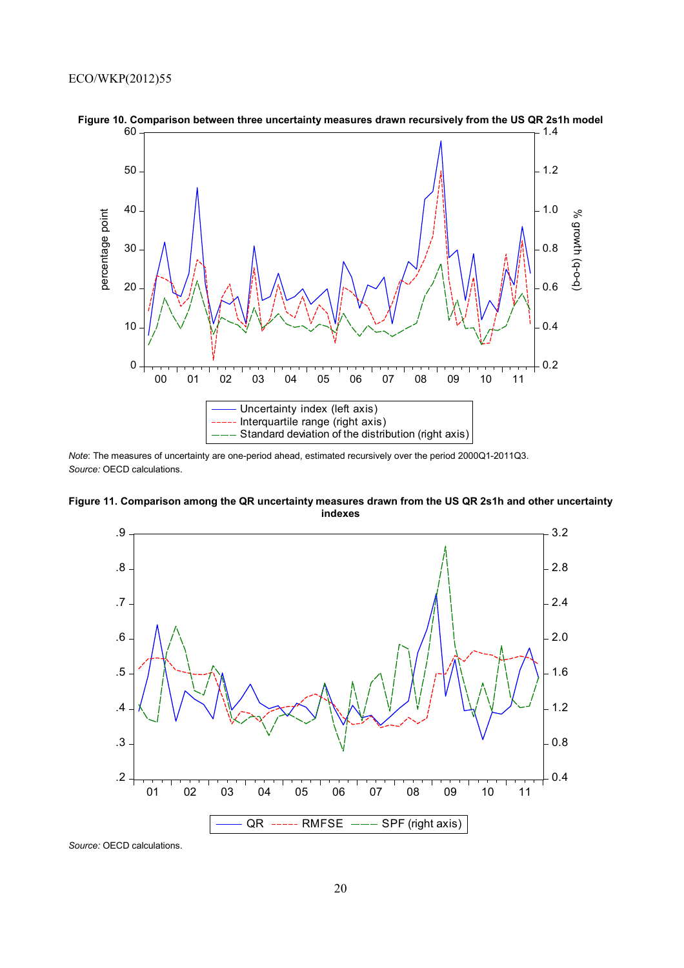

**Figure 10. Comparison between three uncertainty measures drawn recursively from the US QR 2s1h model**

*Note*: The measures of uncertainty are one-period ahead, estimated recursively over the period 2000Q1-2011Q3. *Source:* OECD calculations.





*Source:* OECD calculations.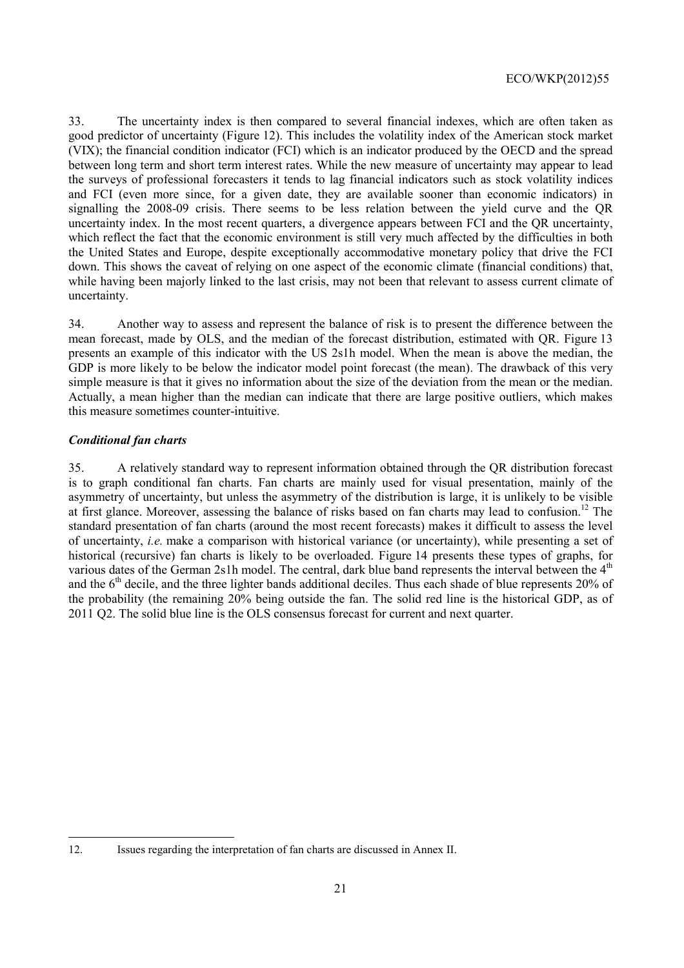33. The uncertainty index is then compared to several financial indexes, which are often taken as good predictor of uncertainty (Figure 12). This includes the volatility index of the American stock market (VIX); the financial condition indicator (FCI) which is an indicator produced by the OECD and the spread between long term and short term interest rates. While the new measure of uncertainty may appear to lead the surveys of professional forecasters it tends to lag financial indicators such as stock volatility indices and FCI (even more since, for a given date, they are available sooner than economic indicators) in signalling the 2008-09 crisis. There seems to be less relation between the yield curve and the QR uncertainty index. In the most recent quarters, a divergence appears between FCI and the QR uncertainty, which reflect the fact that the economic environment is still very much affected by the difficulties in both the United States and Europe, despite exceptionally accommodative monetary policy that drive the FCI down. This shows the caveat of relying on one aspect of the economic climate (financial conditions) that, while having been majorly linked to the last crisis, may not been that relevant to assess current climate of uncertainty.

34. Another way to assess and represent the balance of risk is to present the difference between the mean forecast, made by OLS, and the median of the forecast distribution, estimated with QR. Figure 13 presents an example of this indicator with the US 2s1h model. When the mean is above the median, the GDP is more likely to be below the indicator model point forecast (the mean). The drawback of this very simple measure is that it gives no information about the size of the deviation from the mean or the median. Actually, a mean higher than the median can indicate that there are large positive outliers, which makes this measure sometimes counter-intuitive.

# *Conditional fan charts*

35. A relatively standard way to represent information obtained through the QR distribution forecast is to graph conditional fan charts. Fan charts are mainly used for visual presentation, mainly of the asymmetry of uncertainty, but unless the asymmetry of the distribution is large, it is unlikely to be visible at first glance. Moreover, assessing the balance of risks based on fan charts may lead to confusion.12 The standard presentation of fan charts (around the most recent forecasts) makes it difficult to assess the level of uncertainty, *i.e.* make a comparison with historical variance (or uncertainty), while presenting a set of historical (recursive) fan charts is likely to be overloaded. Figure 14 presents these types of graphs, for various dates of the German 2s1h model. The central, dark blue band represents the interval between the 4<sup>th</sup> and the 6<sup>th</sup> decile, and the three lighter bands additional deciles. Thus each shade of blue represents 20% of the probability (the remaining 20% being outside the fan. The solid red line is the historical GDP, as of 2011 Q2. The solid blue line is the OLS consensus forecast for current and next quarter.

<sup>12.</sup> Issues regarding the interpretation of fan charts are discussed in Annex II.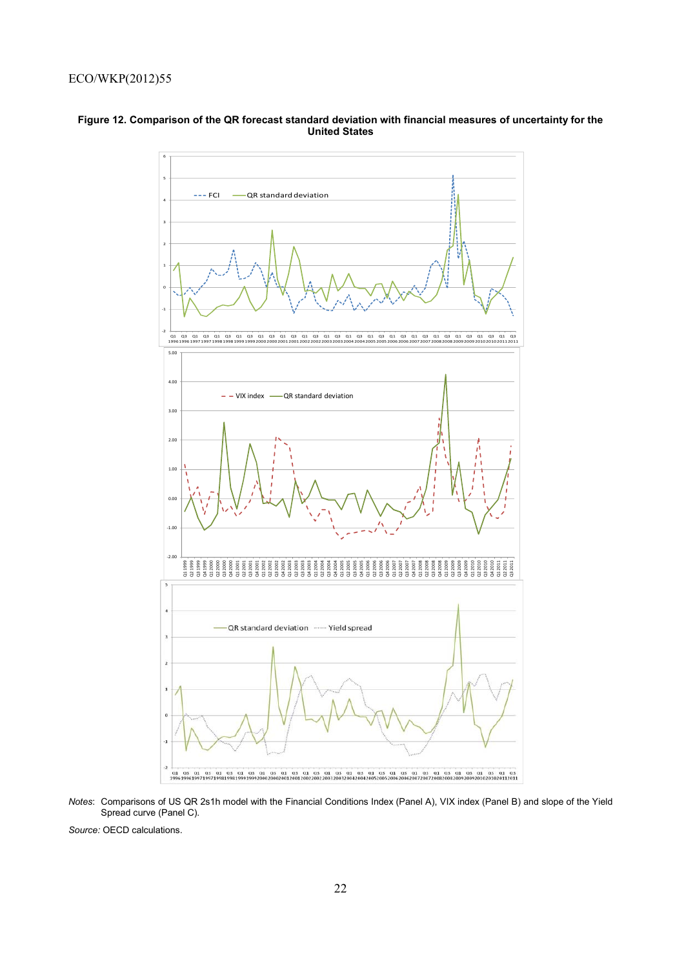

#### **Figure 12. Comparison of the QR forecast standard deviation with financial measures of uncertainty for the United States**

*Notes*: Comparisons of US QR 2s1h model with the Financial Conditions Index (Panel A), VIX index (Panel B) and slope of the Yield Spread curve (Panel C).

*Source:* OECD calculations.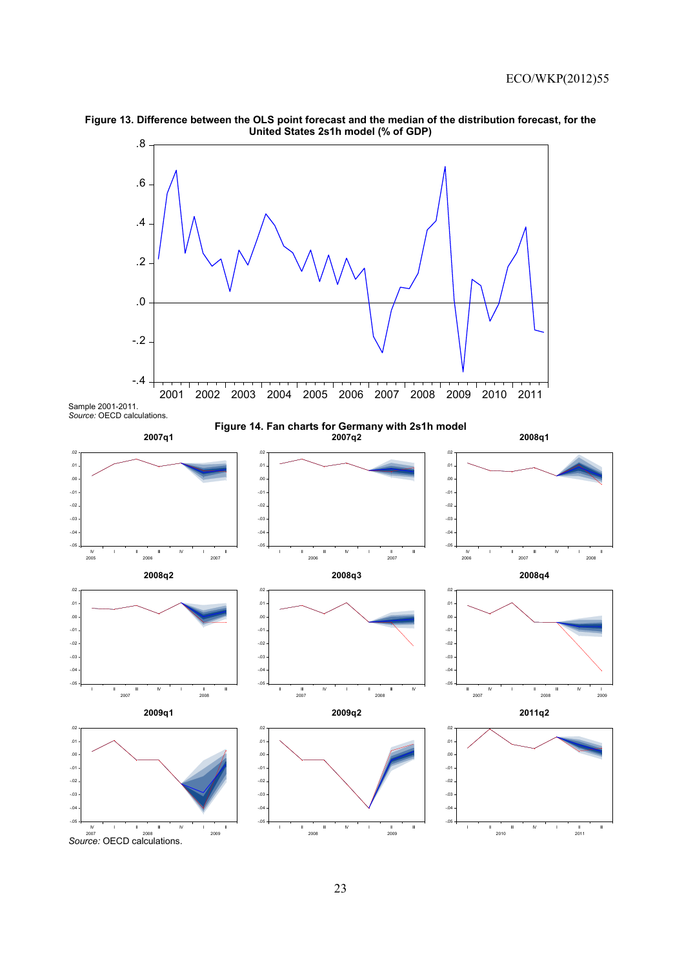

**Figure 13. Difference between the OLS point forecast and the median of the distribution forecast, for the United States 2s1h model (% of GDP)** 

Sample 2001-2011.

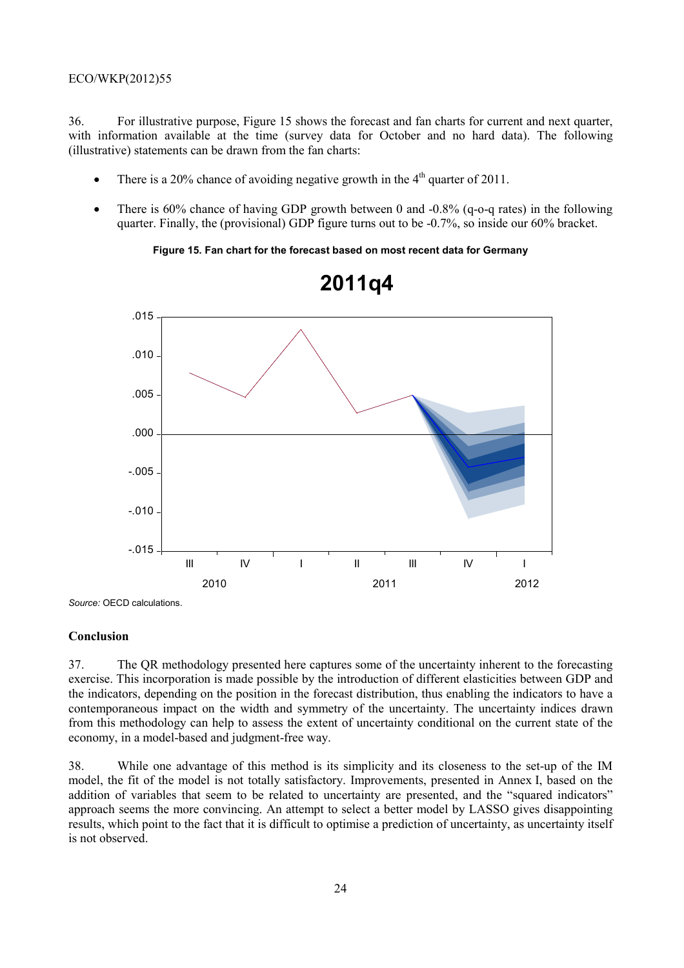### ECO/WKP(2012)55

36. For illustrative purpose, Figure 15 shows the forecast and fan charts for current and next quarter, with information available at the time (survey data for October and no hard data). The following (illustrative) statements can be drawn from the fan charts:

- There is a 20% chance of avoiding negative growth in the  $4<sup>th</sup>$  quarter of 2011.
- There is  $60\%$  chance of having GDP growth between 0 and  $-0.8\%$  (q-o-q rates) in the following quarter. Finally, the (provisional) GDP figure turns out to be -0.7%, so inside our 60% bracket.

**Figure 15. Fan chart for the forecast based on most recent data for Germany** 



**2011q4**

*Source:* OECD calculations.

#### **Conclusion**

37. The QR methodology presented here captures some of the uncertainty inherent to the forecasting exercise. This incorporation is made possible by the introduction of different elasticities between GDP and the indicators, depending on the position in the forecast distribution, thus enabling the indicators to have a contemporaneous impact on the width and symmetry of the uncertainty. The uncertainty indices drawn from this methodology can help to assess the extent of uncertainty conditional on the current state of the economy, in a model-based and judgment-free way.

38. While one advantage of this method is its simplicity and its closeness to the set-up of the IM model, the fit of the model is not totally satisfactory. Improvements, presented in Annex I, based on the addition of variables that seem to be related to uncertainty are presented, and the "squared indicators" approach seems the more convincing. An attempt to select a better model by LASSO gives disappointing results, which point to the fact that it is difficult to optimise a prediction of uncertainty, as uncertainty itself is not observed.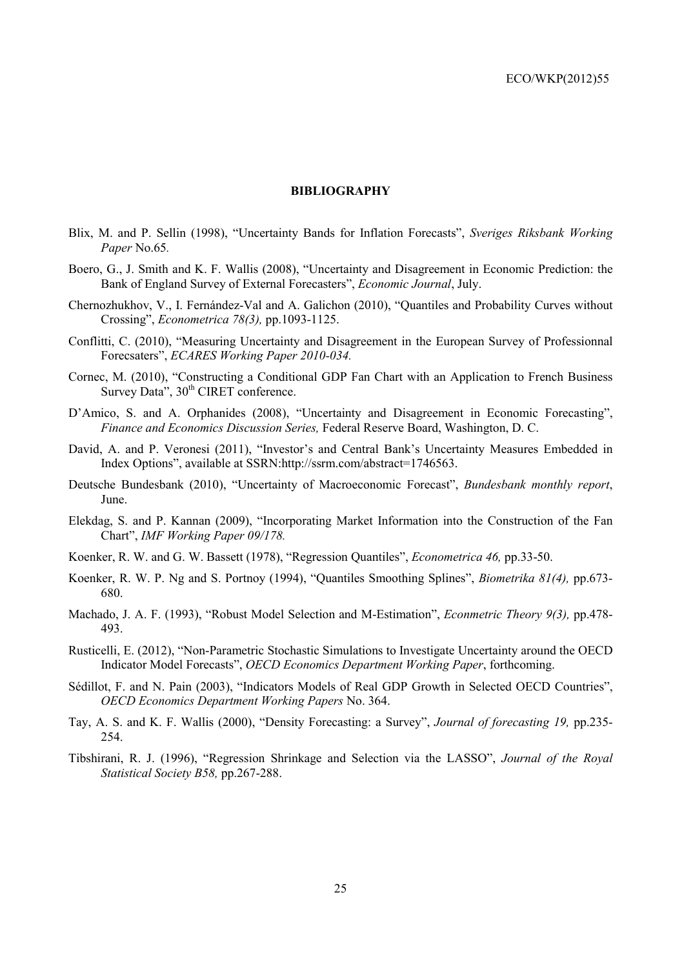#### **BIBLIOGRAPHY**

- Blix, M. and P. Sellin (1998), "Uncertainty Bands for Inflation Forecasts", *Sveriges Riksbank Working Paper* No.65*.*
- Boero, G., J. Smith and K. F. Wallis (2008), "Uncertainty and Disagreement in Economic Prediction: the Bank of England Survey of External Forecasters", *Economic Journal*, July.
- Chernozhukhov, V., I. Fernández-Val and A. Galichon (2010), "Quantiles and Probability Curves without Crossing", *Econometrica 78(3),* pp.1093-1125.
- Conflitti, C. (2010), "Measuring Uncertainty and Disagreement in the European Survey of Professionnal Forecsaters", *ECARES Working Paper 2010-034.*
- Cornec, M. (2010), "Constructing a Conditional GDP Fan Chart with an Application to French Business Survey Data",  $30<sup>th</sup>$  CIRET conference.
- D'Amico, S. and A. Orphanides (2008), "Uncertainty and Disagreement in Economic Forecasting", *Finance and Economics Discussion Series,* Federal Reserve Board, Washington, D. C.
- David, A. and P. Veronesi (2011), "Investor's and Central Bank's Uncertainty Measures Embedded in Index Options", available at SSRN:http://ssrm.com/abstract=1746563.
- Deutsche Bundesbank (2010), "Uncertainty of Macroeconomic Forecast", *Bundesbank monthly report*, June.
- Elekdag, S. and P. Kannan (2009), "Incorporating Market Information into the Construction of the Fan Chart", *IMF Working Paper 09/178.*
- Koenker, R. W. and G. W. Bassett (1978), "Regression Quantiles", *Econometrica 46,* pp.33-50.
- Koenker, R. W. P. Ng and S. Portnoy (1994), "Quantiles Smoothing Splines", *Biometrika 81(4),* pp.673- 680.
- Machado, J. A. F. (1993), "Robust Model Selection and M-Estimation", *Econmetric Theory 9(3),* pp.478- 493.
- Rusticelli, E. (2012), "Non-Parametric Stochastic Simulations to Investigate Uncertainty around the OECD Indicator Model Forecasts", *OECD Economics Department Working Paper*, forthcoming.
- Sédillot, F. and N. Pain (2003), "Indicators Models of Real GDP Growth in Selected OECD Countries", *OECD Economics Department Working Papers* No. 364.
- Tay, A. S. and K. F. Wallis (2000), "Density Forecasting: a Survey", *Journal of forecasting 19,* pp.235- 254.
- Tibshirani, R. J. (1996), "Regression Shrinkage and Selection via the LASSO", *Journal of the Royal Statistical Society B58,* pp.267-288.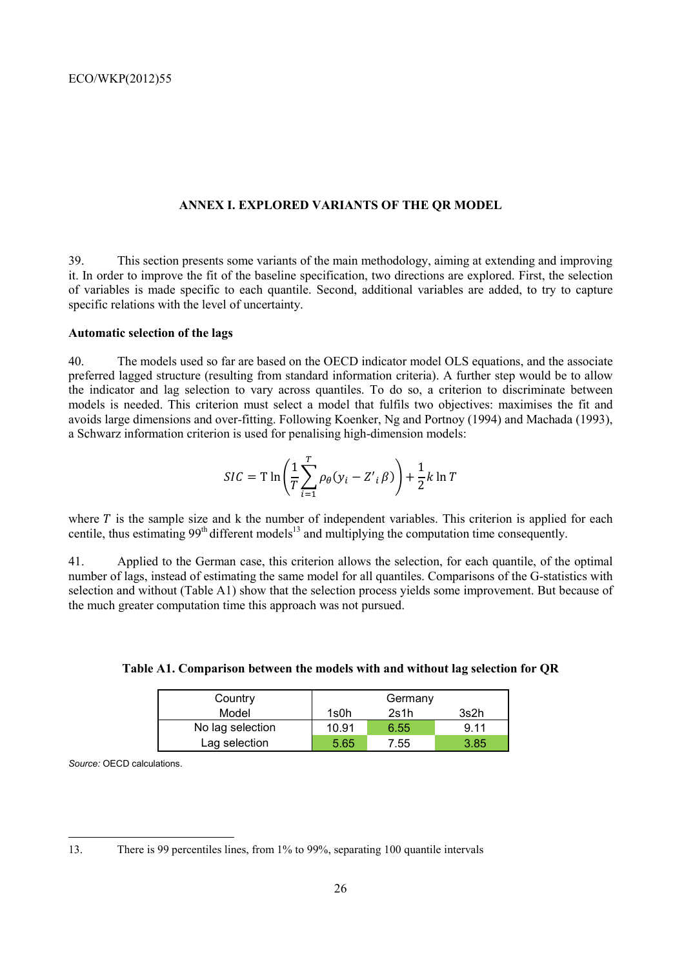#### **ANNEX I. EXPLORED VARIANTS OF THE QR MODEL**

39. This section presents some variants of the main methodology, aiming at extending and improving it. In order to improve the fit of the baseline specification, two directions are explored. First, the selection of variables is made specific to each quantile. Second, additional variables are added, to try to capture specific relations with the level of uncertainty.

# **Automatic selection of the lags**

40. The models used so far are based on the OECD indicator model OLS equations, and the associate preferred lagged structure (resulting from standard information criteria). A further step would be to allow the indicator and lag selection to vary across quantiles. To do so, a criterion to discriminate between models is needed. This criterion must select a model that fulfils two objectives: maximises the fit and avoids large dimensions and over-fitting. Following Koenker, Ng and Portnoy (1994) and Machada (1993), a Schwarz information criterion is used for penalising high-dimension models:

$$
SIC = T \ln \left( \frac{1}{T} \sum_{i=1}^{T} \rho_{\theta} (y_i - Z'_i \beta) \right) + \frac{1}{2} k \ln T
$$

where  $T$  is the sample size and k the number of independent variables. This criterion is applied for each centile, thus estimating 99<sup>th</sup> different models<sup>13</sup> and multiplying the computation time consequently.

41. Applied to the German case, this criterion allows the selection, for each quantile, of the optimal number of lags, instead of estimating the same model for all quantiles. Comparisons of the G-statistics with selection and without (Table A1) show that the selection process yields some improvement. But because of the much greater computation time this approach was not pursued.

| Country          |       | Germany |      |
|------------------|-------|---------|------|
| Model            | 1s0h  | 2s1h    | 3s2h |
| No lag selection | 10.91 | 6.55    | 9.11 |
| Lag selection    | 5.65  | 7.55    | 3.85 |

**Table A1. Comparison between the models with and without lag selection for QR** 

*Source:* OECD calculations.

13. There is 99 percentiles lines, from 1% to 99%, separating 100 quantile intervals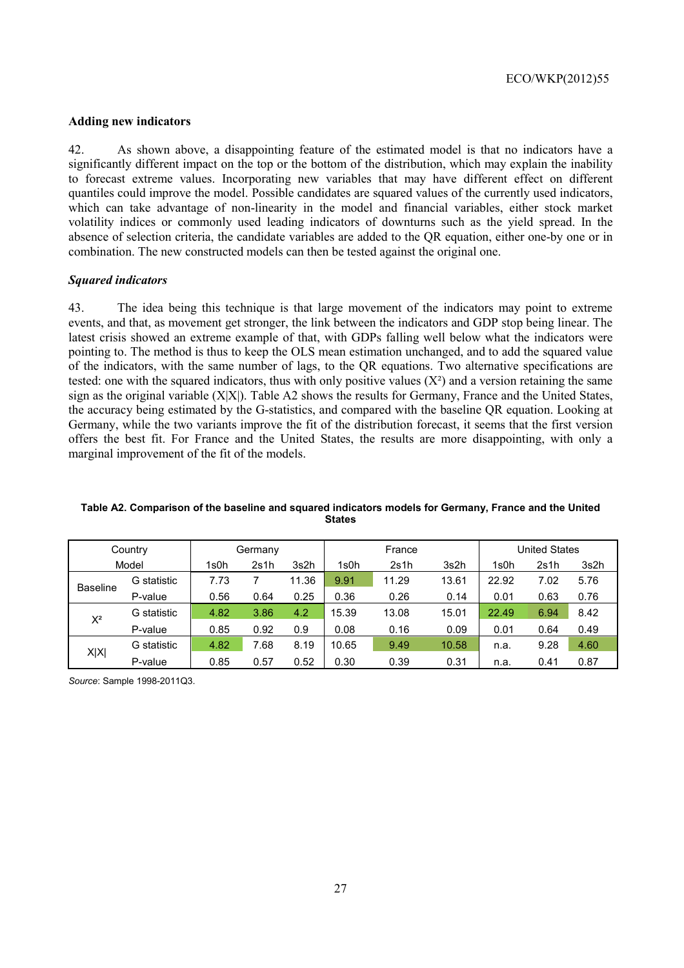#### **Adding new indicators**

42. As shown above, a disappointing feature of the estimated model is that no indicators have a significantly different impact on the top or the bottom of the distribution, which may explain the inability to forecast extreme values. Incorporating new variables that may have different effect on different quantiles could improve the model. Possible candidates are squared values of the currently used indicators, which can take advantage of non-linearity in the model and financial variables, either stock market volatility indices or commonly used leading indicators of downturns such as the yield spread. In the absence of selection criteria, the candidate variables are added to the QR equation, either one-by one or in combination. The new constructed models can then be tested against the original one.

#### *Squared indicators*

43. The idea being this technique is that large movement of the indicators may point to extreme events, and that, as movement get stronger, the link between the indicators and GDP stop being linear. The latest crisis showed an extreme example of that, with GDPs falling well below what the indicators were pointing to. The method is thus to keep the OLS mean estimation unchanged, and to add the squared value of the indicators, with the same number of lags, to the QR equations. Two alternative specifications are tested: one with the squared indicators, thus with only positive values  $(X^2)$  and a version retaining the same sign as the original variable (X|X|). Table A2 shows the results for Germany, France and the United States, the accuracy being estimated by the G-statistics, and compared with the baseline QR equation. Looking at Germany, while the two variants improve the fit of the distribution forecast, it seems that the first version offers the best fit. For France and the United States, the results are more disappointing, with only a marginal improvement of the fit of the models.

| Country         |             |      | Germany |       | France |       |       | United States |      |      |
|-----------------|-------------|------|---------|-------|--------|-------|-------|---------------|------|------|
| Model           |             | 1s0h | 2s1h    | 3s2h  | 1s0h   | 2s1h  | 3s2h  | 1s0h          | 2s1h | 3s2h |
| <b>Baseline</b> | G statistic | 7.73 |         | 11.36 | 9.91   | 11.29 | 13.61 | 22.92         | 7.02 | 5.76 |
|                 | P-value     | 0.56 | 0.64    | 0.25  | 0.36   | 0.26  | 0.14  | 0.01          | 0.63 | 0.76 |
| $X^2$           | G statistic | 4.82 | 3.86    | 4.2   | 15.39  | 13.08 | 15.01 | 22.49         | 6.94 | 8.42 |
|                 | P-value     | 0.85 | 0.92    | 0.9   | 0.08   | 0.16  | 0.09  | 0.01          | 0.64 | 0.49 |
|                 | G statistic | 4.82 | 7.68    | 8.19  | 10.65  | 9.49  | 10.58 | n.a.          | 9.28 | 4.60 |
| X X             | P-value     | 0.85 | 0.57    | 0.52  | 0.30   | 0.39  | 0.31  | n.a.          | 0.41 | 0.87 |

**Table A2. Comparison of the baseline and squared indicators models for Germany, France and the United States** 

*Source*: Sample 1998-2011Q3.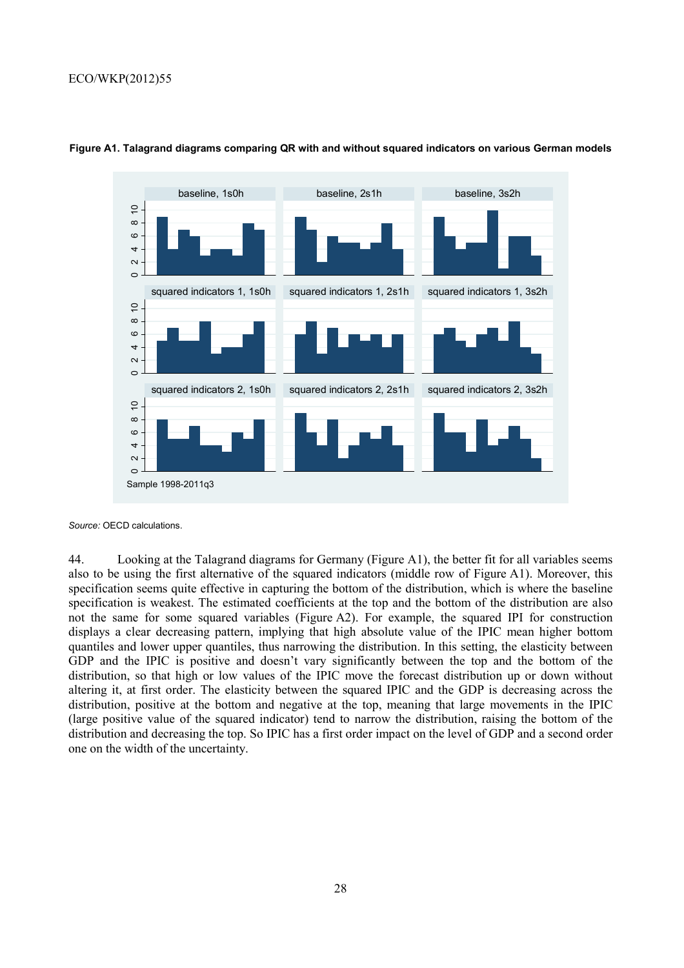# ECO/WKP(2012)55



#### **Figure A1. Talagrand diagrams comparing QR with and without squared indicators on various German models**

*Source:* OECD calculations.

44. Looking at the Talagrand diagrams for Germany (Figure A1), the better fit for all variables seems also to be using the first alternative of the squared indicators (middle row of Figure A1). Moreover, this specification seems quite effective in capturing the bottom of the distribution, which is where the baseline specification is weakest. The estimated coefficients at the top and the bottom of the distribution are also not the same for some squared variables (Figure A2). For example, the squared IPI for construction displays a clear decreasing pattern, implying that high absolute value of the IPIC mean higher bottom quantiles and lower upper quantiles, thus narrowing the distribution. In this setting, the elasticity between GDP and the IPIC is positive and doesn't vary significantly between the top and the bottom of the distribution, so that high or low values of the IPIC move the forecast distribution up or down without altering it, at first order. The elasticity between the squared IPIC and the GDP is decreasing across the distribution, positive at the bottom and negative at the top, meaning that large movements in the IPIC (large positive value of the squared indicator) tend to narrow the distribution, raising the bottom of the distribution and decreasing the top. So IPIC has a first order impact on the level of GDP and a second order one on the width of the uncertainty.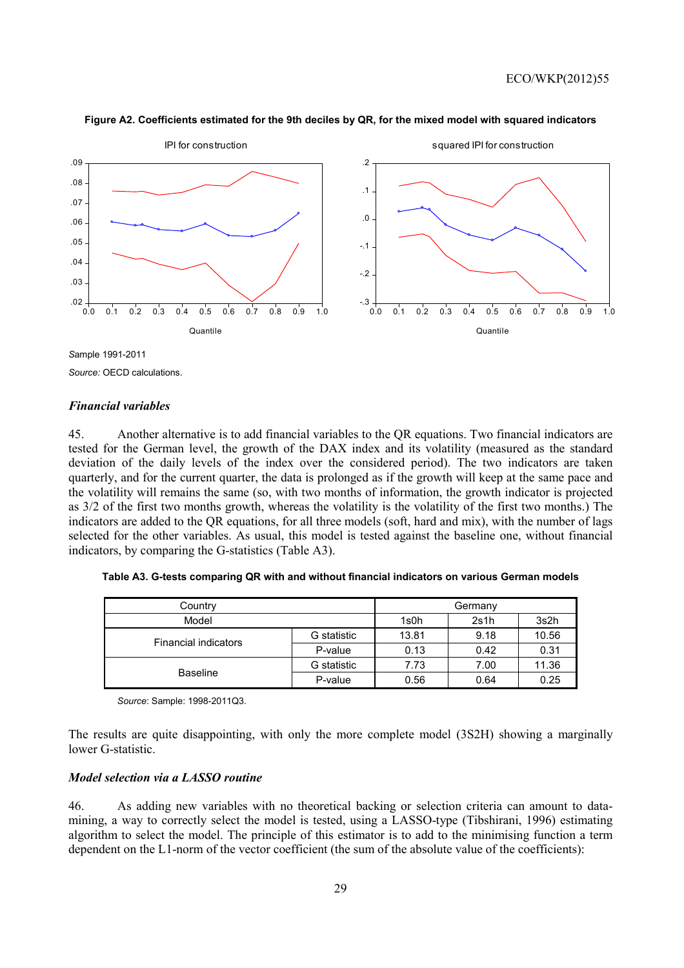

## **Figure A2. Coefficients estimated for the 9th deciles by QR, for the mixed model with squared indicators**

*S*ample 1991-2011 *Source:* OECD calculations.

#### *Financial variables*

45. Another alternative is to add financial variables to the QR equations. Two financial indicators are tested for the German level, the growth of the DAX index and its volatility (measured as the standard deviation of the daily levels of the index over the considered period). The two indicators are taken quarterly, and for the current quarter, the data is prolonged as if the growth will keep at the same pace and the volatility will remains the same (so, with two months of information, the growth indicator is projected as 3/2 of the first two months growth, whereas the volatility is the volatility of the first two months.) The indicators are added to the QR equations, for all three models (soft, hard and mix), with the number of lags selected for the other variables. As usual, this model is tested against the baseline one, without financial indicators, by comparing the G-statistics (Table A3).

| Country                     |             | Germany |      |       |
|-----------------------------|-------------|---------|------|-------|
| Model                       |             | 1s0h    | 2s1h | 3s2h  |
| <b>Financial indicators</b> | G statistic | 13.81   | 9.18 | 10.56 |
|                             | P-value     | 0.13    | 0.42 | 0.31  |
| <b>Baseline</b>             | G statistic | 7.73    | 7.00 | 11.36 |
|                             | P-value     | 0.56    | 0.64 | 0.25  |

**Table A3. G-tests comparing QR with and without financial indicators on various German models** 

 *Source*: Sample: 1998-2011Q3.

The results are quite disappointing, with only the more complete model (3S2H) showing a marginally lower G-statistic.

#### *Model selection via a LASSO routine*

46. As adding new variables with no theoretical backing or selection criteria can amount to datamining, a way to correctly select the model is tested, using a LASSO-type (Tibshirani, 1996) estimating algorithm to select the model. The principle of this estimator is to add to the minimising function a term dependent on the L1-norm of the vector coefficient (the sum of the absolute value of the coefficients):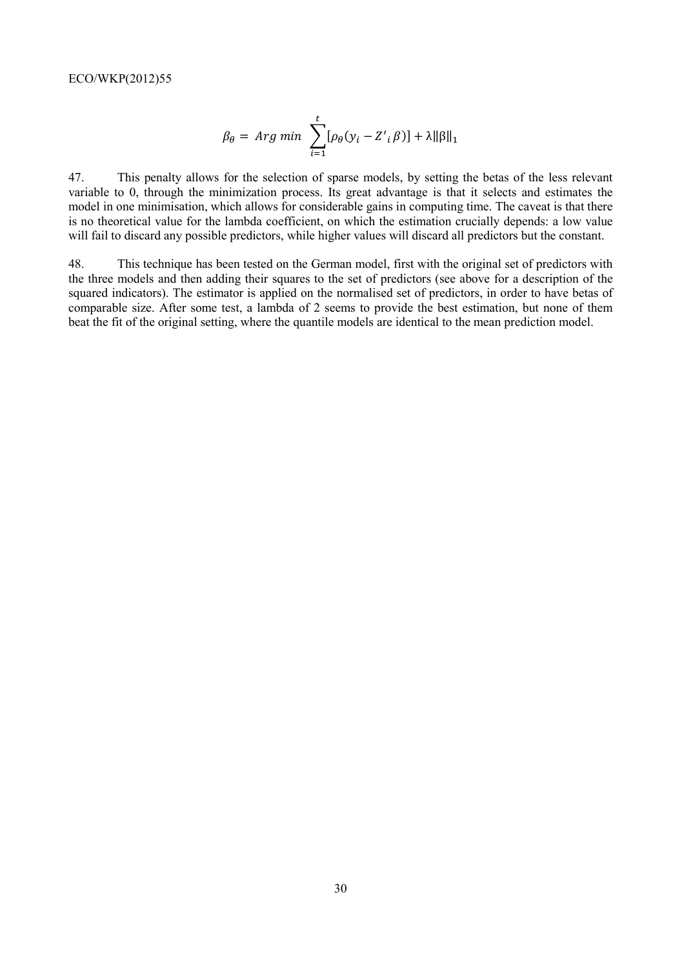$$
\beta_{\theta} = \text{Arg min} \sum_{i=1}^{t} [\rho_{\theta}(y_i - Z'_i \beta)] + \lambda ||\beta||_1
$$

47. This penalty allows for the selection of sparse models, by setting the betas of the less relevant variable to 0, through the minimization process. Its great advantage is that it selects and estimates the model in one minimisation, which allows for considerable gains in computing time. The caveat is that there is no theoretical value for the lambda coefficient, on which the estimation crucially depends: a low value will fail to discard any possible predictors, while higher values will discard all predictors but the constant.

48. This technique has been tested on the German model, first with the original set of predictors with the three models and then adding their squares to the set of predictors (see above for a description of the squared indicators). The estimator is applied on the normalised set of predictors, in order to have betas of comparable size. After some test, a lambda of 2 seems to provide the best estimation, but none of them beat the fit of the original setting, where the quantile models are identical to the mean prediction model.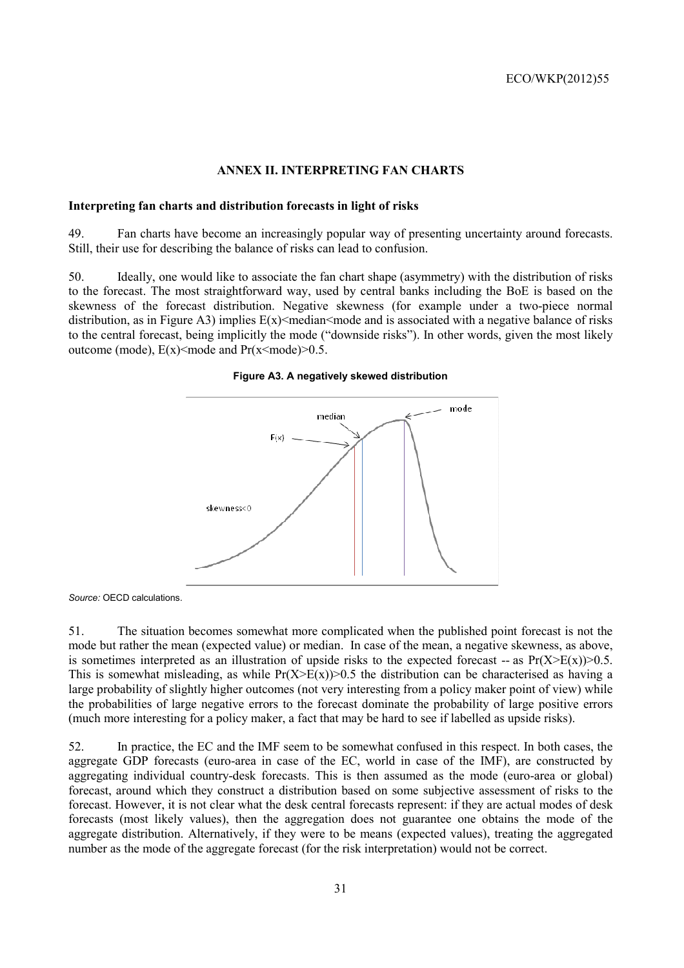## **ANNEX II. INTERPRETING FAN CHARTS**

#### **Interpreting fan charts and distribution forecasts in light of risks**

49. Fan charts have become an increasingly popular way of presenting uncertainty around forecasts. Still, their use for describing the balance of risks can lead to confusion.

50. Ideally, one would like to associate the fan chart shape (asymmetry) with the distribution of risks to the forecast. The most straightforward way, used by central banks including the BoE is based on the skewness of the forecast distribution. Negative skewness (for example under a two-piece normal distribution, as in Figure A3) implies  $E(x)$  median mode and is associated with a negative balance of risks to the central forecast, being implicitly the mode ("downside risks"). In other words, given the most likely outcome (mode),  $E(x) \leq m$ ode and  $Pr(x \leq m$ ode) $\geq 0.5$ .

# **Figure A3. A negatively skewed distribution**



*Source:* OECD calculations.

51. The situation becomes somewhat more complicated when the published point forecast is not the mode but rather the mean (expected value) or median. In case of the mean, a negative skewness, as above, is sometimes interpreted as an illustration of upside risks to the expected forecast -- as  $Pr(X>E(x))>0.5$ . This is somewhat misleading, as while  $Pr(X>E(X))>0.5$  the distribution can be characterised as having a large probability of slightly higher outcomes (not very interesting from a policy maker point of view) while the probabilities of large negative errors to the forecast dominate the probability of large positive errors (much more interesting for a policy maker, a fact that may be hard to see if labelled as upside risks).

52. In practice, the EC and the IMF seem to be somewhat confused in this respect. In both cases, the aggregate GDP forecasts (euro-area in case of the EC, world in case of the IMF), are constructed by aggregating individual country-desk forecasts. This is then assumed as the mode (euro-area or global) forecast, around which they construct a distribution based on some subjective assessment of risks to the forecast. However, it is not clear what the desk central forecasts represent: if they are actual modes of desk forecasts (most likely values), then the aggregation does not guarantee one obtains the mode of the aggregate distribution. Alternatively, if they were to be means (expected values), treating the aggregated number as the mode of the aggregate forecast (for the risk interpretation) would not be correct.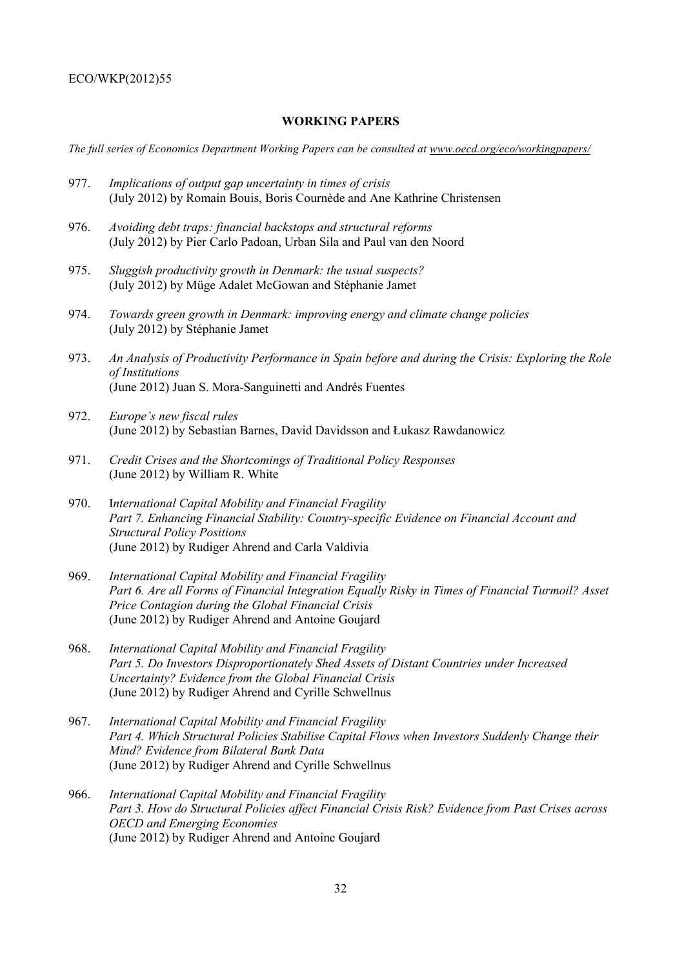# **WORKING PAPERS**

*The full series of Economics Department Working Papers can be consulted at www.oecd.org/eco/workingpapers/*

- 977. *Implications of output gap uncertainty in times of crisis* (July 2012) by Romain Bouis, Boris Cournède and Ane Kathrine Christensen
- 976. *Avoiding debt traps: financial backstops and structural reforms* (July 2012) by Pier Carlo Padoan, Urban Sila and Paul van den Noord
- 975. *Sluggish productivity growth in Denmark: the usual suspects?* (July 2012) by Müge Adalet McGowan and Stéphanie Jamet
- 974. *Towards green growth in Denmark: improving energy and climate change policies*  (July 2012) by Stéphanie Jamet
- 973. *An Analysis of Productivity Performance in Spain before and during the Crisis: Exploring the Role of Institutions* (June 2012) Juan S. Mora-Sanguinetti and Andrés Fuentes
- 972. *Europe's new fiscal rules* (June 2012) by Sebastian Barnes, David Davidsson and Łukasz Rawdanowicz
- 971. *Credit Crises and the Shortcomings of Traditional Policy Responses*  (June 2012) by William R. White
- 970. I*nternational Capital Mobility and Financial Fragility Part 7. Enhancing Financial Stability: Country-specific Evidence on Financial Account and Structural Policy Positions*  (June 2012) by Rudiger Ahrend and Carla Valdivia
- 969. *International Capital Mobility and Financial Fragility Part 6. Are all Forms of Financial Integration Equally Risky in Times of Financial Turmoil? Asset Price Contagion during the Global Financial Crisis*  (June 2012) by Rudiger Ahrend and Antoine Goujard
- 968. *International Capital Mobility and Financial Fragility Part 5. Do Investors Disproportionately Shed Assets of Distant Countries under Increased Uncertainty? Evidence from the Global Financial Crisis*  (June 2012) by Rudiger Ahrend and Cyrille Schwellnus
- 967. *International Capital Mobility and Financial Fragility Part 4. Which Structural Policies Stabilise Capital Flows when Investors Suddenly Change their Mind? Evidence from Bilateral Bank Data*  (June 2012) by Rudiger Ahrend and Cyrille Schwellnus
- 966. *International Capital Mobility and Financial Fragility Part 3. How do Structural Policies affect Financial Crisis Risk? Evidence from Past Crises across OECD and Emerging Economies* (June 2012) by Rudiger Ahrend and Antoine Goujard